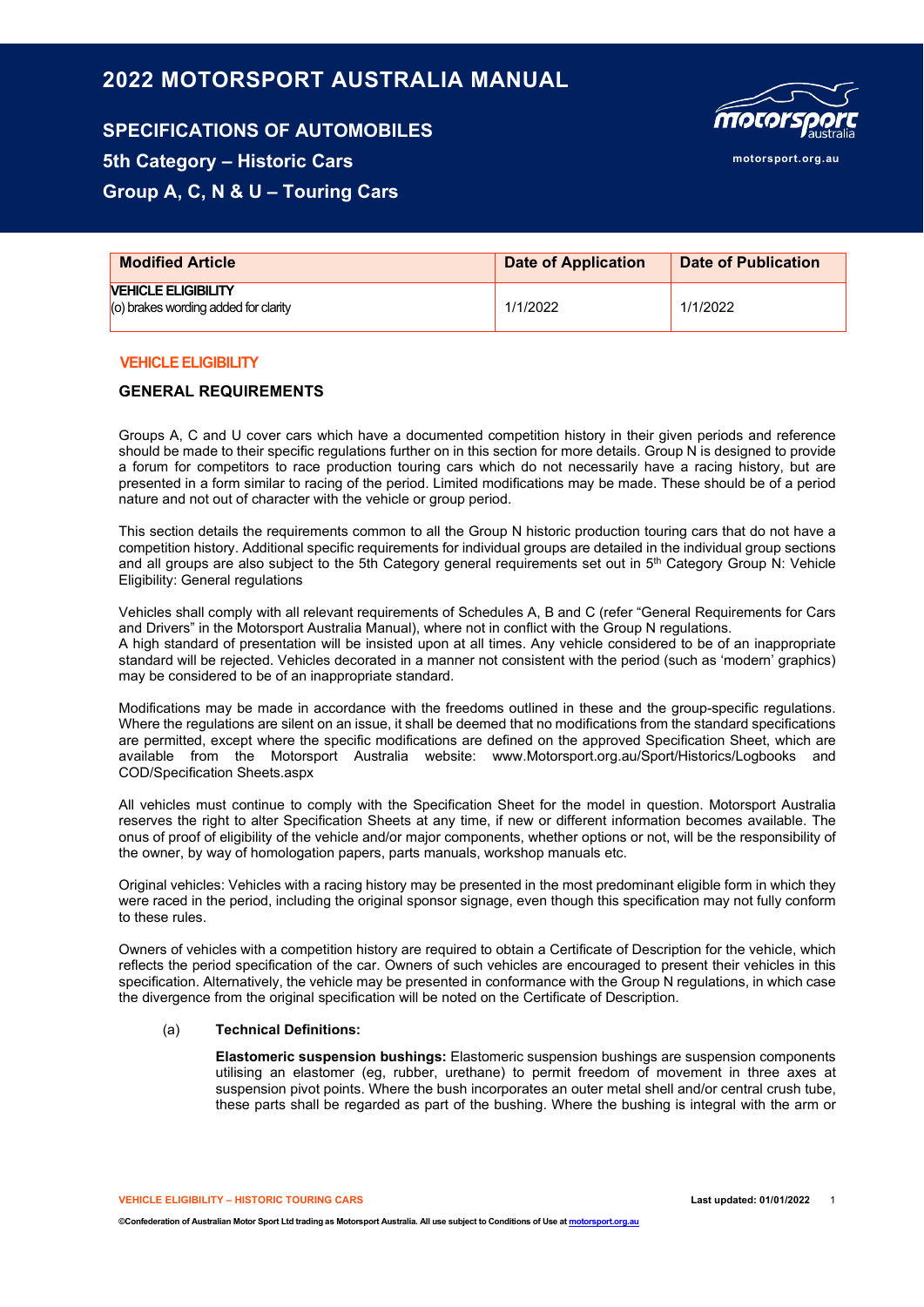# **2022 MOTORSPORT AUSTRALIA MANUAL**

# **SPECIFICATIONS OF AUTOMOBILES 5th Category – Historic Cars Group A, C, N & U – Touring Cars**

| <b>MOCOFSPOLE</b> |
|-------------------|
| motorsport.org.au |

| <b>Modified Article</b>                                                           | <b>Date of Application</b> | Date of Publication |
|-----------------------------------------------------------------------------------|----------------------------|---------------------|
| <b><i>NEHICLE ELIGIBILITY</i></b><br>$\vert$ (o) brakes wording added for clarity | 1/1/2022                   | 1/1/2022            |

### **VEHICLE ELIGIBILITY**

### **GENERAL REQUIREMENTS**

Groups A, C and U cover cars which have a documented competition history in their given periods and reference should be made to their specific regulations further on in this section for more details. Group N is designed to provide a forum for competitors to race production touring cars which do not necessarily have a racing history, but are presented in a form similar to racing of the period. Limited modifications may be made. These should be of a period nature and not out of character with the vehicle or group period.

This section details the requirements common to all the Group N historic production touring cars that do not have a competition history. Additional specific requirements for individual groups are detailed in the individual group sections and all groups are also subject to the 5th Category general requirements set out in 5<sup>th</sup> Category Group N: Vehicle Eligibility: General regulations

Vehicles shall comply with all relevant requirements of Schedules A, B and C (refer "General Requirements for Cars and Drivers" in the Motorsport Australia Manual), where not in conflict with the Group N regulations. A high standard of presentation will be insisted upon at all times. Any vehicle considered to be of an inappropriate standard will be rejected. Vehicles decorated in a manner not consistent with the period (such as 'modern' graphics) may be considered to be of an inappropriate standard.

Modifications may be made in accordance with the freedoms outlined in these and the group-specific regulations. Where the regulations are silent on an issue, it shall be deemed that no modifications from the standard specifications are permitted, except where the specific modifications are defined on the approved Specification Sheet, which are available from the Motorsport Australia website: www.Motorsport.org.au/Sport/Historics/Logbooks and COD/Specification Sheets.aspx

All vehicles must continue to comply with the Specification Sheet for the model in question. Motorsport Australia reserves the right to alter Specification Sheets at any time, if new or different information becomes available. The onus of proof of eligibility of the vehicle and/or major components, whether options or not, will be the responsibility of the owner, by way of homologation papers, parts manuals, workshop manuals etc.

Original vehicles: Vehicles with a racing history may be presented in the most predominant eligible form in which they were raced in the period, including the original sponsor signage, even though this specification may not fully conform to these rules.

Owners of vehicles with a competition history are required to obtain a Certificate of Description for the vehicle, which reflects the period specification of the car. Owners of such vehicles are encouraged to present their vehicles in this specification. Alternatively, the vehicle may be presented in conformance with the Group N regulations, in which case the divergence from the original specification will be noted on the Certificate of Description.

#### (a) **Technical Definitions:**

**Elastomeric suspension bushings:** Elastomeric suspension bushings are suspension components utilising an elastomer (eg, rubber, urethane) to permit freedom of movement in three axes at suspension pivot points. Where the bush incorporates an outer metal shell and/or central crush tube, these parts shall be regarded as part of the bushing. Where the bushing is integral with the arm or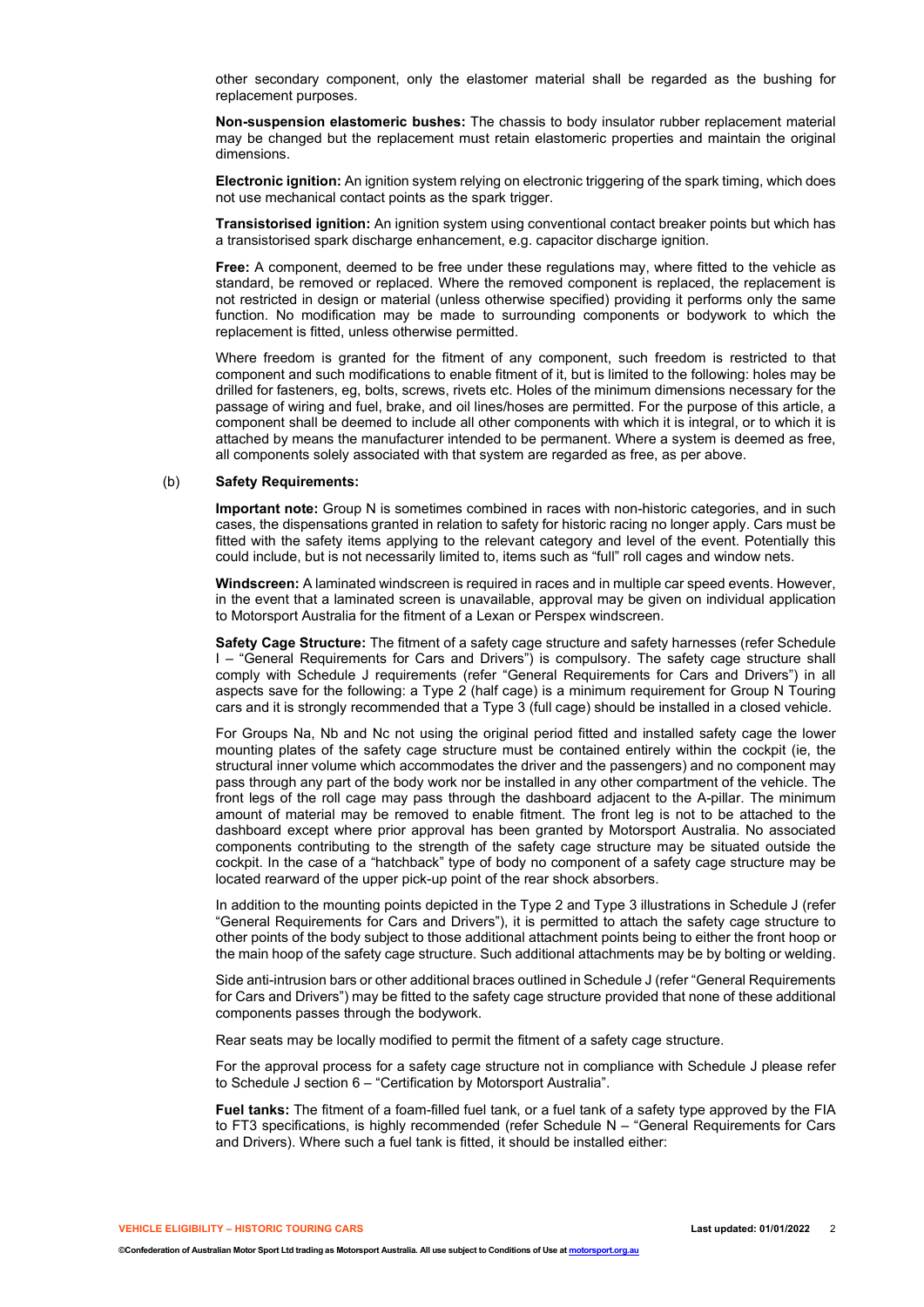other secondary component, only the elastomer material shall be regarded as the bushing for replacement purposes.

**Non-suspension elastomeric bushes:** The chassis to body insulator rubber replacement material may be changed but the replacement must retain elastomeric properties and maintain the original dimensions.

**Electronic ignition:** An ignition system relying on electronic triggering of the spark timing, which does not use mechanical contact points as the spark trigger.

**Transistorised ignition:** An ignition system using conventional contact breaker points but which has a transistorised spark discharge enhancement, e.g. capacitor discharge ignition.

**Free:** A component, deemed to be free under these regulations may, where fitted to the vehicle as standard, be removed or replaced. Where the removed component is replaced, the replacement is not restricted in design or material (unless otherwise specified) providing it performs only the same function. No modification may be made to surrounding components or bodywork to which the replacement is fitted, unless otherwise permitted.

Where freedom is granted for the fitment of any component, such freedom is restricted to that component and such modifications to enable fitment of it, but is limited to the following: holes may be drilled for fasteners, eg, bolts, screws, rivets etc. Holes of the minimum dimensions necessary for the passage of wiring and fuel, brake, and oil lines/hoses are permitted. For the purpose of this article, a component shall be deemed to include all other components with which it is integral, or to which it is attached by means the manufacturer intended to be permanent. Where a system is deemed as free, all components solely associated with that system are regarded as free, as per above.

#### (b) **Safety Requirements:**

**Important note:** Group N is sometimes combined in races with non-historic categories, and in such cases, the dispensations granted in relation to safety for historic racing no longer apply. Cars must be fitted with the safety items applying to the relevant category and level of the event. Potentially this could include, but is not necessarily limited to, items such as "full" roll cages and window nets.

**Windscreen:** A laminated windscreen is required in races and in multiple car speed events. However, in the event that a laminated screen is unavailable, approval may be given on individual application to Motorsport Australia for the fitment of a Lexan or Perspex windscreen.

**Safety Cage Structure:** The fitment of a safety cage structure and safety harnesses (refer Schedule I – "General Requirements for Cars and Drivers") is compulsory. The safety cage structure shall comply with Schedule J requirements (refer "General Requirements for Cars and Drivers") in all aspects save for the following: a Type 2 (half cage) is a minimum requirement for Group N Touring cars and it is strongly recommended that a Type 3 (full cage) should be installed in a closed vehicle.

For Groups Na, Nb and Nc not using the original period fitted and installed safety cage the lower mounting plates of the safety cage structure must be contained entirely within the cockpit (ie, the structural inner volume which accommodates the driver and the passengers) and no component may pass through any part of the body work nor be installed in any other compartment of the vehicle. The front legs of the roll cage may pass through the dashboard adjacent to the A-pillar. The minimum amount of material may be removed to enable fitment. The front leg is not to be attached to the dashboard except where prior approval has been granted by Motorsport Australia. No associated components contributing to the strength of the safety cage structure may be situated outside the cockpit. In the case of a "hatchback" type of body no component of a safety cage structure may be located rearward of the upper pick-up point of the rear shock absorbers.

In addition to the mounting points depicted in the Type 2 and Type 3 illustrations in Schedule J (refer "General Requirements for Cars and Drivers"), it is permitted to attach the safety cage structure to other points of the body subject to those additional attachment points being to either the front hoop or the main hoop of the safety cage structure. Such additional attachments may be by bolting or welding.

Side anti-intrusion bars or other additional braces outlined in Schedule J (refer "General Requirements for Cars and Drivers") may be fitted to the safety cage structure provided that none of these additional components passes through the bodywork.

Rear seats may be locally modified to permit the fitment of a safety cage structure.

For the approval process for a safety cage structure not in compliance with Schedule J please refer to Schedule J section 6 – "Certification by Motorsport Australia".

**Fuel tanks:** The fitment of a foam-filled fuel tank, or a fuel tank of a safety type approved by the FIA to FT3 specifications, is highly recommended (refer Schedule N – "General Requirements for Cars and Drivers). Where such a fuel tank is fitted, it should be installed either: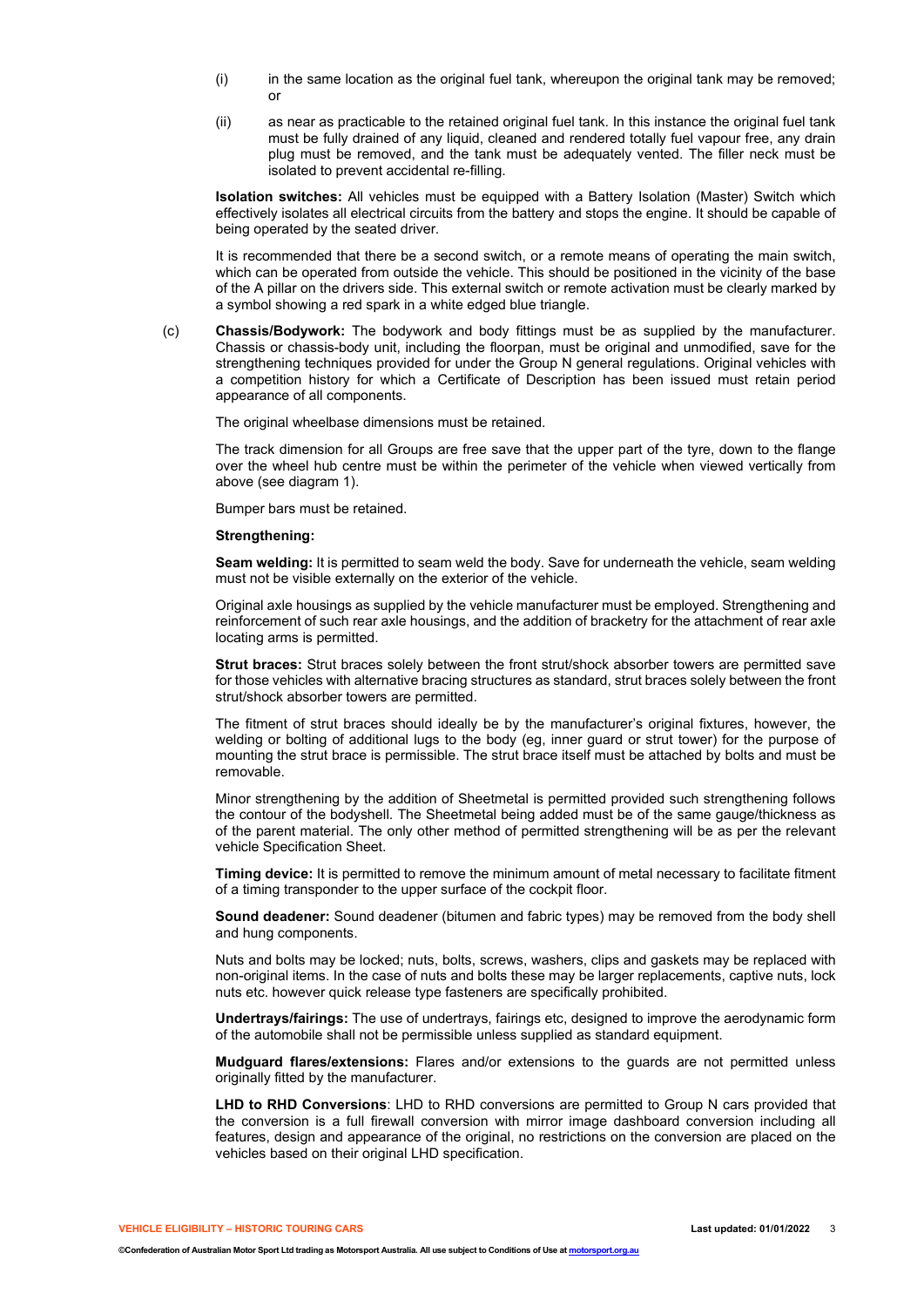- (i) in the same location as the original fuel tank, whereupon the original tank may be removed; or
- (ii) as near as practicable to the retained original fuel tank. In this instance the original fuel tank must be fully drained of any liquid, cleaned and rendered totally fuel vapour free, any drain plug must be removed, and the tank must be adequately vented. The filler neck must be isolated to prevent accidental re-filling.

**Isolation switches:** All vehicles must be equipped with a Battery Isolation (Master) Switch which effectively isolates all electrical circuits from the battery and stops the engine. It should be capable of being operated by the seated driver.

It is recommended that there be a second switch, or a remote means of operating the main switch, which can be operated from outside the vehicle. This should be positioned in the vicinity of the base of the A pillar on the drivers side. This external switch or remote activation must be clearly marked by a symbol showing a red spark in a white edged blue triangle.

(c) **Chassis/Bodywork:** The bodywork and body fittings must be as supplied by the manufacturer. Chassis or chassis-body unit, including the floorpan, must be original and unmodified, save for the strengthening techniques provided for under the Group N general regulations. Original vehicles with a competition history for which a Certificate of Description has been issued must retain period appearance of all components.

The original wheelbase dimensions must be retained.

The track dimension for all Groups are free save that the upper part of the tyre, down to the flange over the wheel hub centre must be within the perimeter of the vehicle when viewed vertically from above (see diagram 1).

Bumper bars must be retained.

#### **Strengthening:**

**Seam welding:** It is permitted to seam weld the body. Save for underneath the vehicle, seam welding must not be visible externally on the exterior of the vehicle.

Original axle housings as supplied by the vehicle manufacturer must be employed. Strengthening and reinforcement of such rear axle housings, and the addition of bracketry for the attachment of rear axle locating arms is permitted.

**Strut braces:** Strut braces solely between the front strut/shock absorber towers are permitted save for those vehicles with alternative bracing structures as standard, strut braces solely between the front strut/shock absorber towers are permitted.

The fitment of strut braces should ideally be by the manufacturer's original fixtures, however, the welding or bolting of additional lugs to the body (eg, inner guard or strut tower) for the purpose of mounting the strut brace is permissible. The strut brace itself must be attached by bolts and must be removable.

Minor strengthening by the addition of Sheetmetal is permitted provided such strengthening follows the contour of the bodyshell. The Sheetmetal being added must be of the same gauge/thickness as of the parent material. The only other method of permitted strengthening will be as per the relevant vehicle Specification Sheet.

**Timing device:** It is permitted to remove the minimum amount of metal necessary to facilitate fitment of a timing transponder to the upper surface of the cockpit floor.

**Sound deadener:** Sound deadener (bitumen and fabric types) may be removed from the body shell and hung components.

Nuts and bolts may be locked; nuts, bolts, screws, washers, clips and gaskets may be replaced with non-original items. In the case of nuts and bolts these may be larger replacements, captive nuts, lock nuts etc. however quick release type fasteners are specifically prohibited.

**Undertrays/fairings:** The use of undertrays, fairings etc, designed to improve the aerodynamic form of the automobile shall not be permissible unless supplied as standard equipment.

**Mudguard flares/extensions:** Flares and/or extensions to the guards are not permitted unless originally fitted by the manufacturer.

**LHD to RHD Conversions**: LHD to RHD conversions are permitted to Group N cars provided that the conversion is a full firewall conversion with mirror image dashboard conversion including all features, design and appearance of the original, no restrictions on the conversion are placed on the vehicles based on their original LHD specification.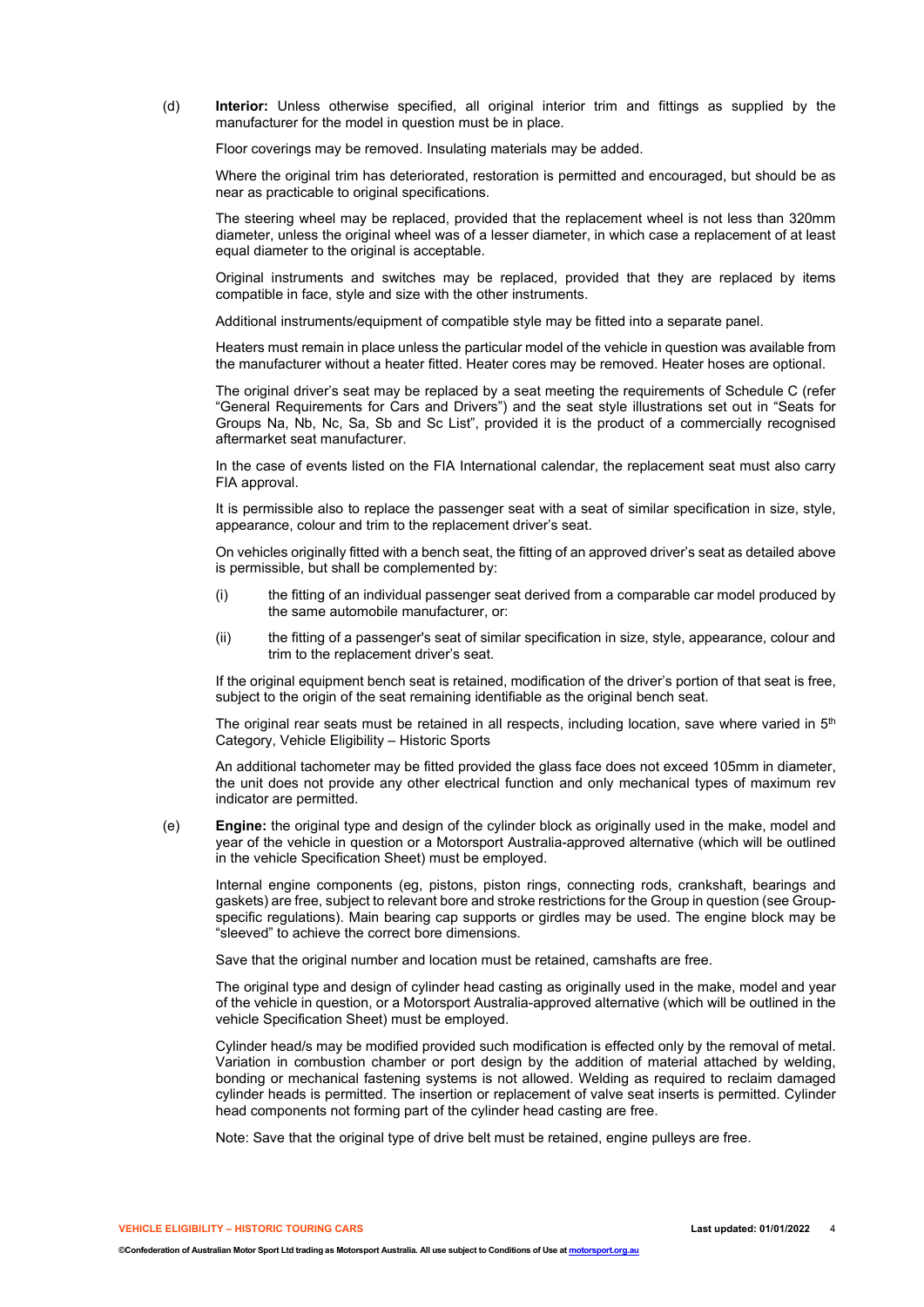(d) **Interior:** Unless otherwise specified, all original interior trim and fittings as supplied by the manufacturer for the model in question must be in place.

Floor coverings may be removed. Insulating materials may be added.

Where the original trim has deteriorated, restoration is permitted and encouraged, but should be as near as practicable to original specifications.

The steering wheel may be replaced, provided that the replacement wheel is not less than 320mm diameter, unless the original wheel was of a lesser diameter, in which case a replacement of at least equal diameter to the original is acceptable.

Original instruments and switches may be replaced, provided that they are replaced by items compatible in face, style and size with the other instruments.

Additional instruments/equipment of compatible style may be fitted into a separate panel.

Heaters must remain in place unless the particular model of the vehicle in question was available from the manufacturer without a heater fitted. Heater cores may be removed. Heater hoses are optional.

The original driver's seat may be replaced by a seat meeting the requirements of Schedule C (refer "General Requirements for Cars and Drivers") and the seat style illustrations set out in "Seats for Groups Na, Nb, Nc, Sa, Sb and Sc List", provided it is the product of a commercially recognised aftermarket seat manufacturer.

In the case of events listed on the FIA International calendar, the replacement seat must also carry FIA approval.

It is permissible also to replace the passenger seat with a seat of similar specification in size, style, appearance, colour and trim to the replacement driver's seat.

On vehicles originally fitted with a bench seat, the fitting of an approved driver's seat as detailed above is permissible, but shall be complemented by:

- (i) the fitting of an individual passenger seat derived from a comparable car model produced by the same automobile manufacturer, or:
- (ii) the fitting of a passenger's seat of similar specification in size, style, appearance, colour and trim to the replacement driver's seat.

If the original equipment bench seat is retained, modification of the driver's portion of that seat is free, subject to the origin of the seat remaining identifiable as the original bench seat.

The original rear seats must be retained in all respects, including location, save where varied in  $5<sup>th</sup>$ Category, Vehicle Eligibility – Historic Sports

An additional tachometer may be fitted provided the glass face does not exceed 105mm in diameter, the unit does not provide any other electrical function and only mechanical types of maximum rev indicator are permitted.

(e) **Engine:** the original type and design of the cylinder block as originally used in the make, model and year of the vehicle in question or a Motorsport Australia-approved alternative (which will be outlined in the vehicle Specification Sheet) must be employed.

Internal engine components (eg, pistons, piston rings, connecting rods, crankshaft, bearings and gaskets) are free, subject to relevant bore and stroke restrictions for the Group in question (see Groupspecific regulations). Main bearing cap supports or girdles may be used. The engine block may be "sleeved" to achieve the correct bore dimensions.

Save that the original number and location must be retained, camshafts are free.

The original type and design of cylinder head casting as originally used in the make, model and year of the vehicle in question, or a Motorsport Australia-approved alternative (which will be outlined in the vehicle Specification Sheet) must be employed.

Cylinder head/s may be modified provided such modification is effected only by the removal of metal. Variation in combustion chamber or port design by the addition of material attached by welding, bonding or mechanical fastening systems is not allowed. Welding as required to reclaim damaged cylinder heads is permitted. The insertion or replacement of valve seat inserts is permitted. Cylinder head components not forming part of the cylinder head casting are free.

Note: Save that the original type of drive belt must be retained, engine pulleys are free.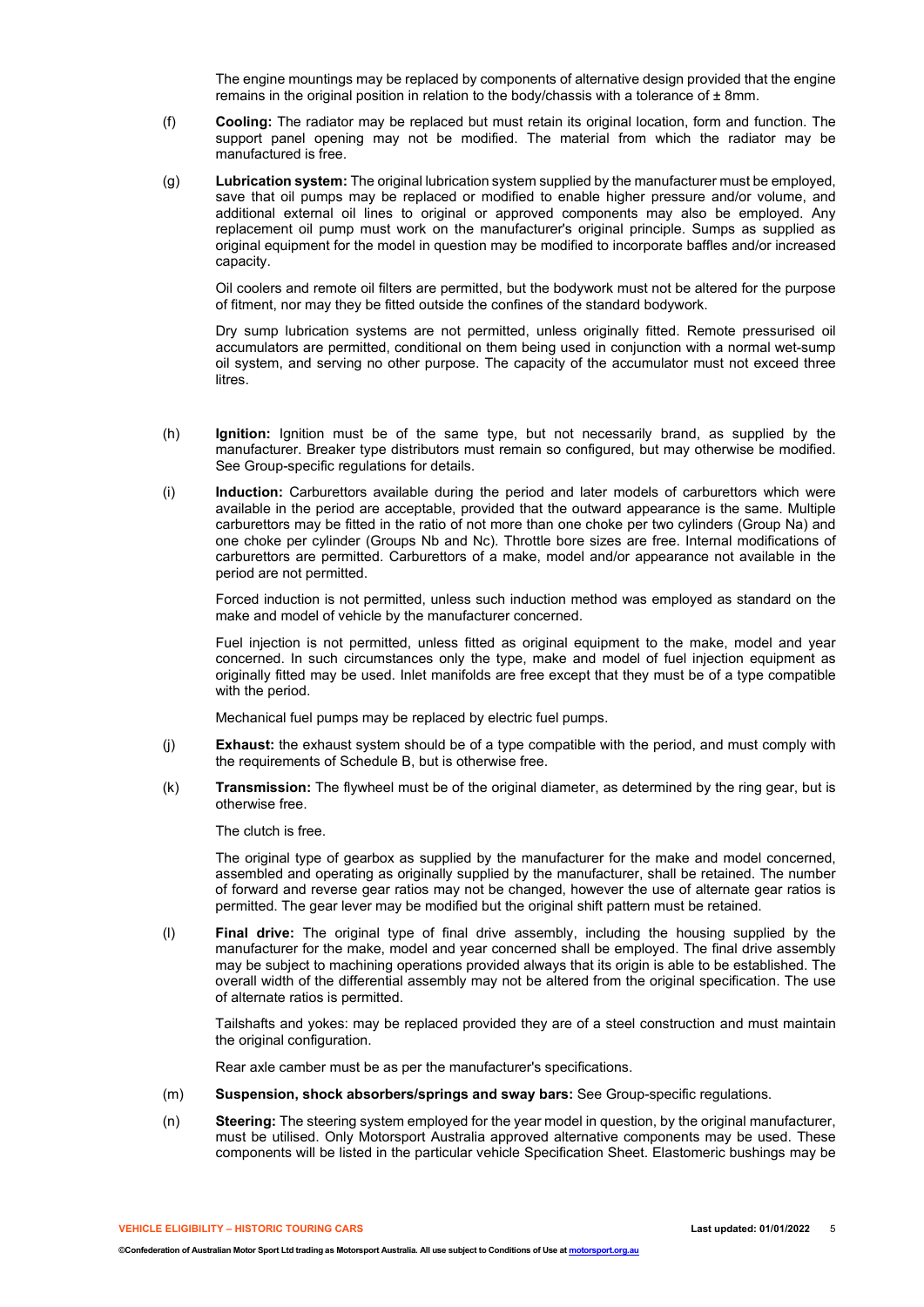The engine mountings may be replaced by components of alternative design provided that the engine remains in the original position in relation to the body/chassis with a tolerance of  $\pm 8$ mm.

- (f) **Cooling:** The radiator may be replaced but must retain its original location, form and function. The support panel opening may not be modified. The material from which the radiator may be manufactured is free.
- (g) **Lubrication system:** The original lubrication system supplied by the manufacturer must be employed, save that oil pumps may be replaced or modified to enable higher pressure and/or volume, and additional external oil lines to original or approved components may also be employed. Any replacement oil pump must work on the manufacturer's original principle. Sumps as supplied as original equipment for the model in question may be modified to incorporate baffles and/or increased capacity.

Oil coolers and remote oil filters are permitted, but the bodywork must not be altered for the purpose of fitment, nor may they be fitted outside the confines of the standard bodywork.

Dry sump lubrication systems are not permitted, unless originally fitted. Remote pressurised oil accumulators are permitted, conditional on them being used in conjunction with a normal wet-sump oil system, and serving no other purpose. The capacity of the accumulator must not exceed three litres.

- (h) **Ignition:** Ignition must be of the same type, but not necessarily brand, as supplied by the manufacturer. Breaker type distributors must remain so configured, but may otherwise be modified. See Group-specific regulations for details.
- (i) **Induction:** Carburettors available during the period and later models of carburettors which were available in the period are acceptable, provided that the outward appearance is the same. Multiple carburettors may be fitted in the ratio of not more than one choke per two cylinders (Group Na) and one choke per cylinder (Groups Nb and Nc). Throttle bore sizes are free. Internal modifications of carburettors are permitted. Carburettors of a make, model and/or appearance not available in the period are not permitted.

Forced induction is not permitted, unless such induction method was employed as standard on the make and model of vehicle by the manufacturer concerned.

Fuel injection is not permitted, unless fitted as original equipment to the make, model and year concerned. In such circumstances only the type, make and model of fuel injection equipment as originally fitted may be used. Inlet manifolds are free except that they must be of a type compatible with the period.

Mechanical fuel pumps may be replaced by electric fuel pumps.

- (j) **Exhaust:** the exhaust system should be of a type compatible with the period, and must comply with the requirements of Schedule B, but is otherwise free.
- (k) **Transmission:** The flywheel must be of the original diameter, as determined by the ring gear, but is otherwise free.

The clutch is free.

The original type of gearbox as supplied by the manufacturer for the make and model concerned, assembled and operating as originally supplied by the manufacturer, shall be retained. The number of forward and reverse gear ratios may not be changed, however the use of alternate gear ratios is permitted. The gear lever may be modified but the original shift pattern must be retained.

(l) **Final drive:** The original type of final drive assembly, including the housing supplied by the manufacturer for the make, model and year concerned shall be employed. The final drive assembly may be subject to machining operations provided always that its origin is able to be established. The overall width of the differential assembly may not be altered from the original specification. The use of alternate ratios is permitted.

Tailshafts and yokes: may be replaced provided they are of a steel construction and must maintain the original configuration.

Rear axle camber must be as per the manufacturer's specifications.

- (m) **Suspension, shock absorbers/springs and sway bars:** See Group-specific regulations.
- (n) **Steering:** The steering system employed for the year model in question, by the original manufacturer, must be utilised. Only Motorsport Australia approved alternative components may be used. These components will be listed in the particular vehicle Specification Sheet. Elastomeric bushings may be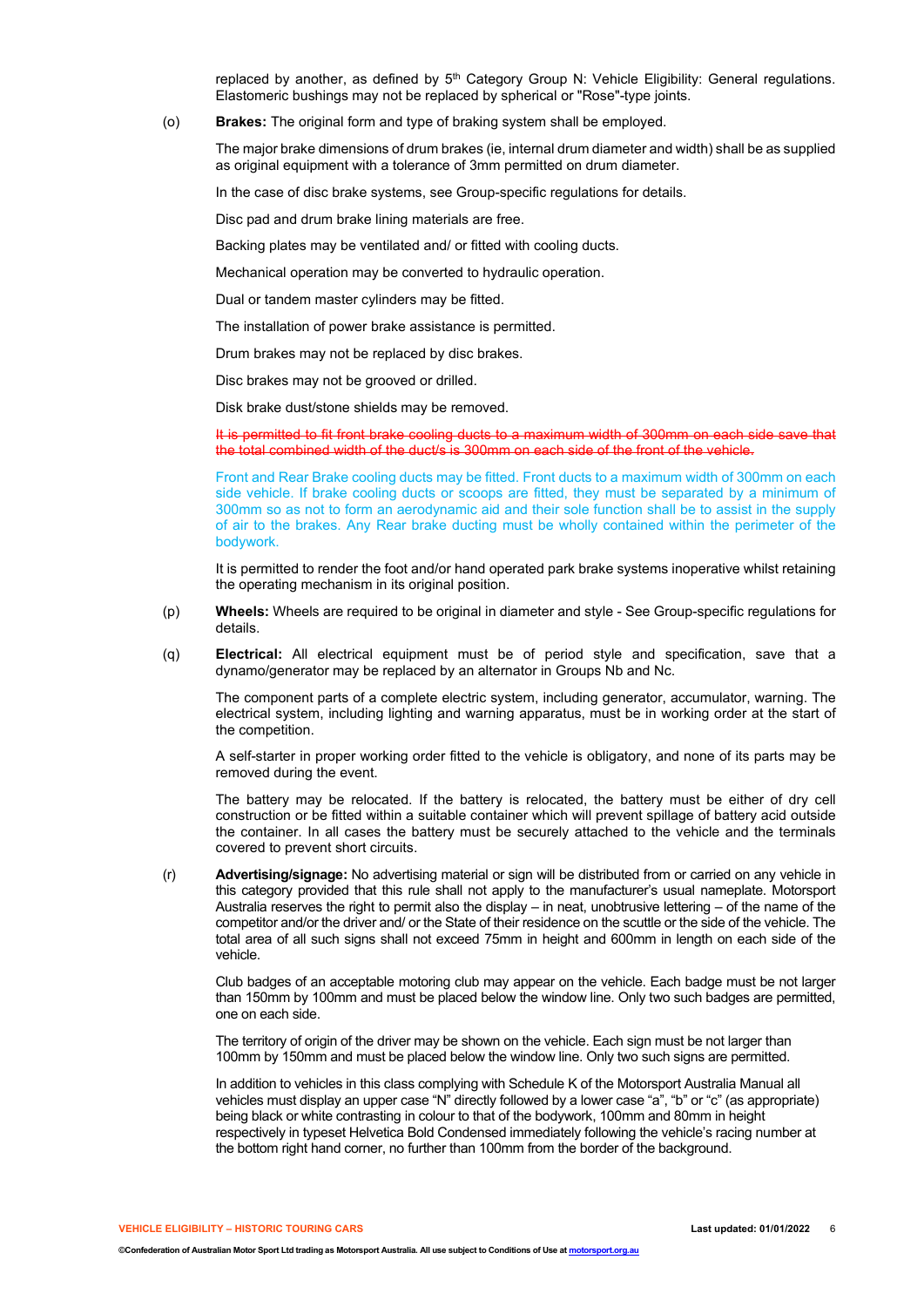replaced by another, as defined by  $5<sup>th</sup>$  Category Group N: Vehicle Eligibility: General regulations. Elastomeric bushings may not be replaced by spherical or "Rose"-type joints.

(o) **Brakes:** The original form and type of braking system shall be employed.

The major brake dimensions of drum brakes (ie, internal drum diameter and width) shall be as supplied as original equipment with a tolerance of 3mm permitted on drum diameter.

In the case of disc brake systems, see Group-specific regulations for details.

Disc pad and drum brake lining materials are free.

Backing plates may be ventilated and/ or fitted with cooling ducts.

Mechanical operation may be converted to hydraulic operation.

Dual or tandem master cylinders may be fitted.

The installation of power brake assistance is permitted.

Drum brakes may not be replaced by disc brakes.

Disc brakes may not be grooved or drilled.

Disk brake dust/stone shields may be removed.

It is permitted to fit front brake cooling ducts to a maximum width of 300mm on each side save that the total combined width of the duct/s is 300mm on each side of the front of the vehicle.

Front and Rear Brake cooling ducts may be fitted. Front ducts to a maximum width of 300mm on each side vehicle. If brake cooling ducts or scoops are fitted, they must be separated by a minimum of 300mm so as not to form an aerodynamic aid and their sole function shall be to assist in the supply of air to the brakes. Any Rear brake ducting must be wholly contained within the perimeter of the bodywork.

It is permitted to render the foot and/or hand operated park brake systems inoperative whilst retaining the operating mechanism in its original position.

- (p) **Wheels:** Wheels are required to be original in diameter and style See Group-specific regulations for details.
- (q) **Electrical:** All electrical equipment must be of period style and specification, save that a dynamo/generator may be replaced by an alternator in Groups Nb and Nc.

The component parts of a complete electric system, including generator, accumulator, warning. The electrical system, including lighting and warning apparatus, must be in working order at the start of the competition.

A self-starter in proper working order fitted to the vehicle is obligatory, and none of its parts may be removed during the event.

The battery may be relocated. If the battery is relocated, the battery must be either of dry cell construction or be fitted within a suitable container which will prevent spillage of battery acid outside the container. In all cases the battery must be securely attached to the vehicle and the terminals covered to prevent short circuits.

(r) **Advertising/signage:** No advertising material or sign will be distributed from or carried on any vehicle in this category provided that this rule shall not apply to the manufacturer's usual nameplate. Motorsport Australia reserves the right to permit also the display – in neat, unobtrusive lettering – of the name of the competitor and/or the driver and/ or the State of their residence on the scuttle or the side of the vehicle. The total area of all such signs shall not exceed 75mm in height and 600mm in length on each side of the vehicle.

Club badges of an acceptable motoring club may appear on the vehicle. Each badge must be not larger than 150mm by 100mm and must be placed below the window line. Only two such badges are permitted, one on each side.

The territory of origin of the driver may be shown on the vehicle. Each sign must be not larger than 100mm by 150mm and must be placed below the window line. Only two such signs are permitted.

In addition to vehicles in this class complying with Schedule K of the Motorsport Australia Manual all vehicles must display an upper case "N" directly followed by a lower case "a", "b" or "c" (as appropriate) being black or white contrasting in colour to that of the bodywork, 100mm and 80mm in height respectively in typeset Helvetica Bold Condensed immediately following the vehicle's racing number at the bottom right hand corner, no further than 100mm from the border of the background.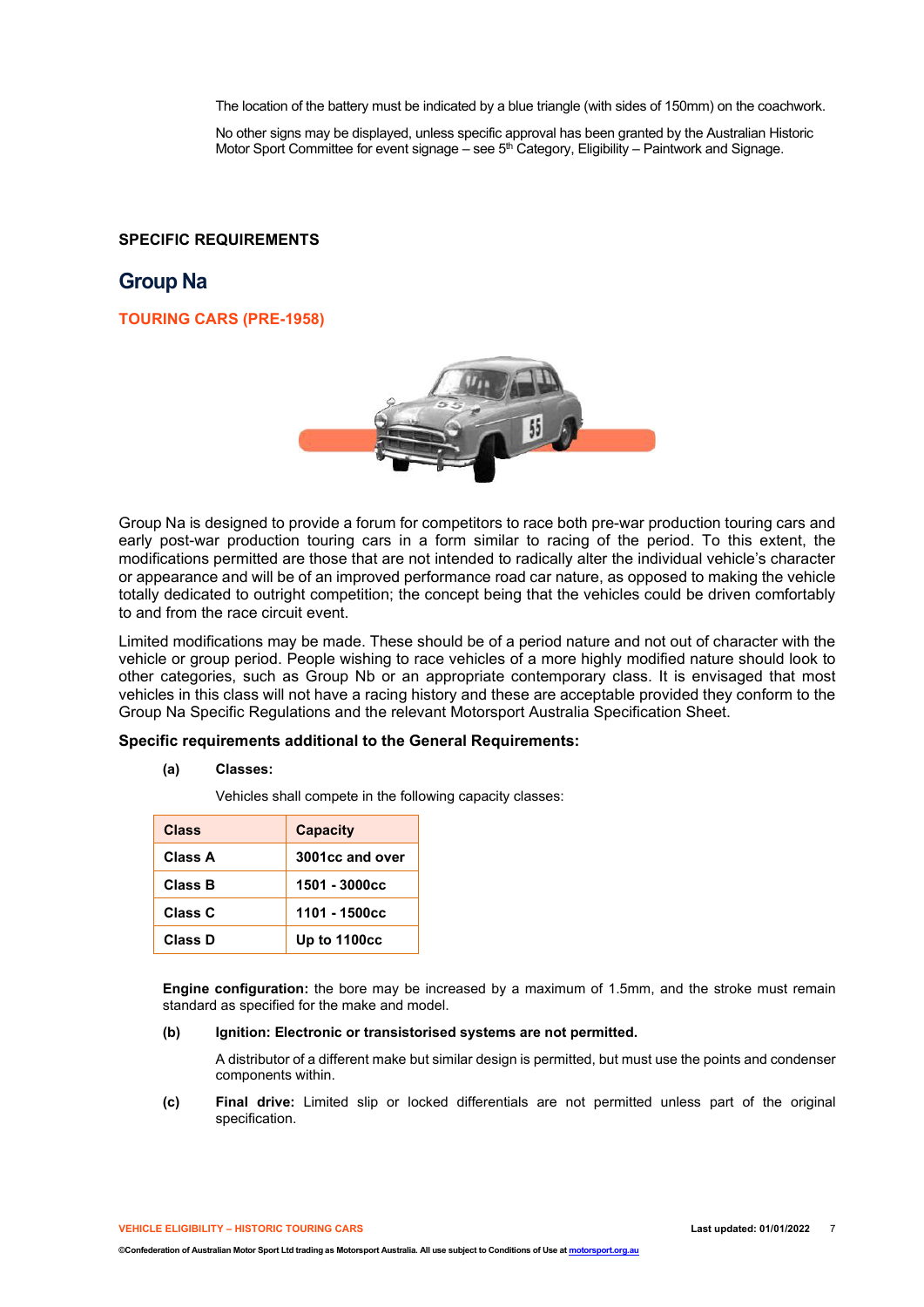The location of the battery must be indicated by a blue triangle (with sides of 150mm) on the coachwork.

No other signs may be displayed, unless specific approval has been granted by the Australian Historic Motor Sport Committee for event signage – see  $5<sup>th</sup>$  Category, Eligibility – Paintwork and Signage.

### **SPECIFIC REQUIREMENTS**

## **Group Na**

### **TOURING CARS (PRE-1958)**



Group Na is designed to provide a forum for competitors to race both pre-war production touring cars and early post-war production touring cars in a form similar to racing of the period. To this extent, the modifications permitted are those that are not intended to radically alter the individual vehicle's character or appearance and will be of an improved performance road car nature, as opposed to making the vehicle totally dedicated to outright competition; the concept being that the vehicles could be driven comfortably to and from the race circuit event.

Limited modifications may be made. These should be of a period nature and not out of character with the vehicle or group period. People wishing to race vehicles of a more highly modified nature should look to other categories, such as Group Nb or an appropriate contemporary class. It is envisaged that most vehicles in this class will not have a racing history and these are acceptable provided they conform to the Group Na Specific Regulations and the relevant Motorsport Australia Specification Sheet.

### **Specific requirements additional to the General Requirements:**

### **(a) Classes:**

Vehicles shall compete in the following capacity classes:

| Class   | <b>Capacity</b> |
|---------|-----------------|
| Class A | 3001cc and over |
| Class B | 1501 - 3000cc   |
| Class C | 1101 - 1500cc   |
| Class D | Up to 1100cc    |

**Engine configuration:** the bore may be increased by a maximum of 1.5mm, and the stroke must remain standard as specified for the make and model.

#### **(b) Ignition: Electronic or transistorised systems are not permitted.**

A distributor of a different make but similar design is permitted, but must use the points and condenser components within.

**(c) Final drive:** Limited slip or locked differentials are not permitted unless part of the original specification.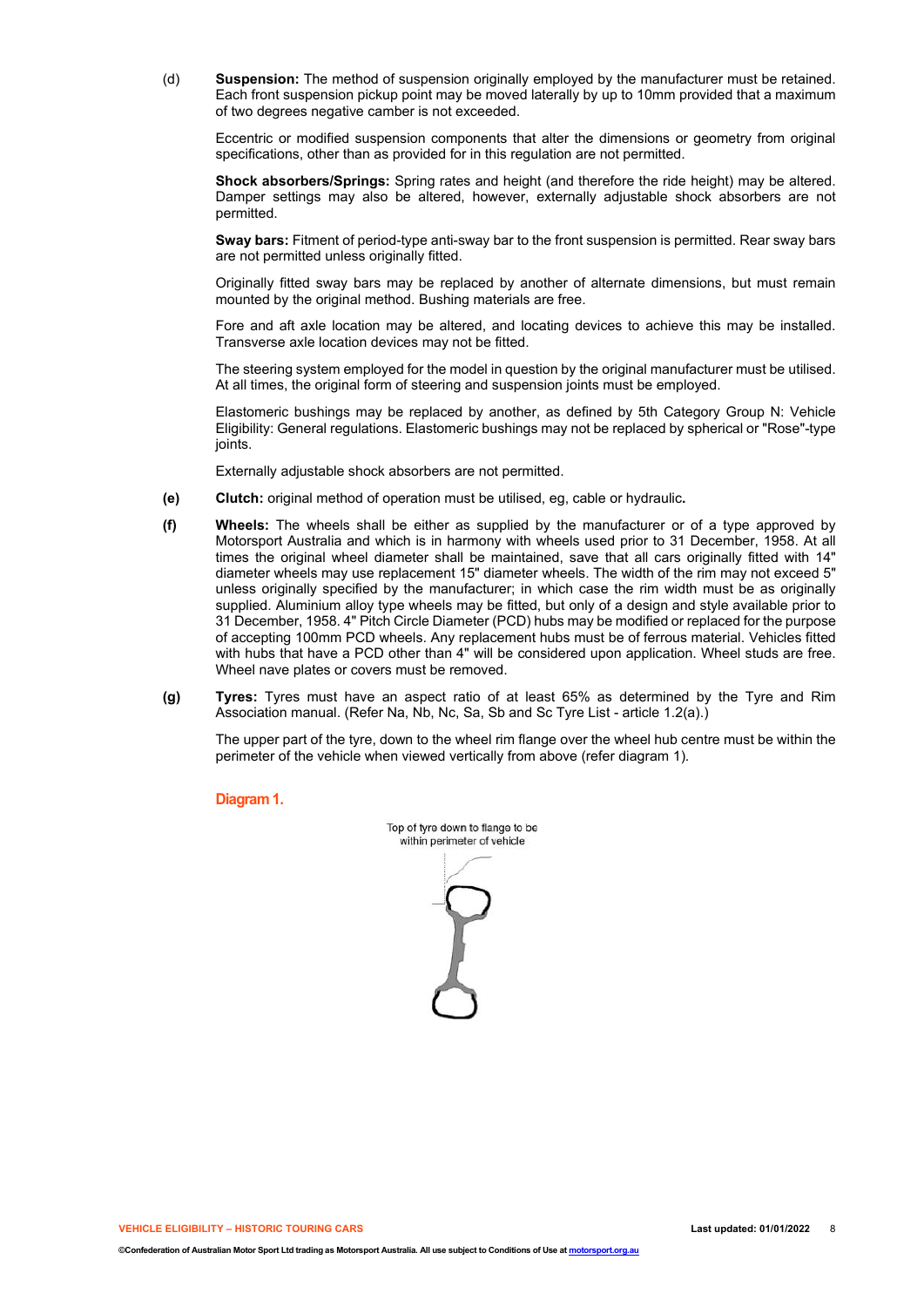(d) **Suspension:** The method of suspension originally employed by the manufacturer must be retained. Each front suspension pickup point may be moved laterally by up to 10mm provided that a maximum of two degrees negative camber is not exceeded.

Eccentric or modified suspension components that alter the dimensions or geometry from original specifications, other than as provided for in this regulation are not permitted.

**Shock absorbers/Springs:** Spring rates and height (and therefore the ride height) may be altered. Damper settings may also be altered, however, externally adjustable shock absorbers are not permitted.

**Sway bars:** Fitment of period-type anti-sway bar to the front suspension is permitted. Rear sway bars are not permitted unless originally fitted.

Originally fitted sway bars may be replaced by another of alternate dimensions, but must remain mounted by the original method. Bushing materials are free.

Fore and aft axle location may be altered, and locating devices to achieve this may be installed. Transverse axle location devices may not be fitted.

The steering system employed for the model in question by the original manufacturer must be utilised. At all times, the original form of steering and suspension joints must be employed.

Elastomeric bushings may be replaced by another, as defined by 5th Category Group N: Vehicle Eligibility: General regulations. Elastomeric bushings may not be replaced by spherical or "Rose"-type joints.

Externally adjustable shock absorbers are not permitted.

- **(e) Clutch:** original method of operation must be utilised, eg, cable or hydraulic**.**
- **(f) Wheels:** The wheels shall be either as supplied by the manufacturer or of a type approved by Motorsport Australia and which is in harmony with wheels used prior to 31 December, 1958. At all times the original wheel diameter shall be maintained, save that all cars originally fitted with 14" diameter wheels may use replacement 15" diameter wheels. The width of the rim may not exceed 5" unless originally specified by the manufacturer; in which case the rim width must be as originally supplied. Aluminium alloy type wheels may be fitted, but only of a design and style available prior to 31 December, 1958. 4" Pitch Circle Diameter (PCD) hubs may be modified or replaced for the purpose of accepting 100mm PCD wheels. Any replacement hubs must be of ferrous material. Vehicles fitted with hubs that have a PCD other than 4" will be considered upon application. Wheel studs are free. Wheel nave plates or covers must be removed.
- **(g) Tyres:** Tyres must have an aspect ratio of at least 65% as determined by the Tyre and Rim Association manual. (Refer Na, Nb, Nc, Sa, Sb and Sc Tyre List - article 1.2(a).)

The upper part of the tyre, down to the wheel rim flange over the wheel hub centre must be within the perimeter of the vehicle when viewed vertically from above (refer diagram 1).

**Diagram 1.**

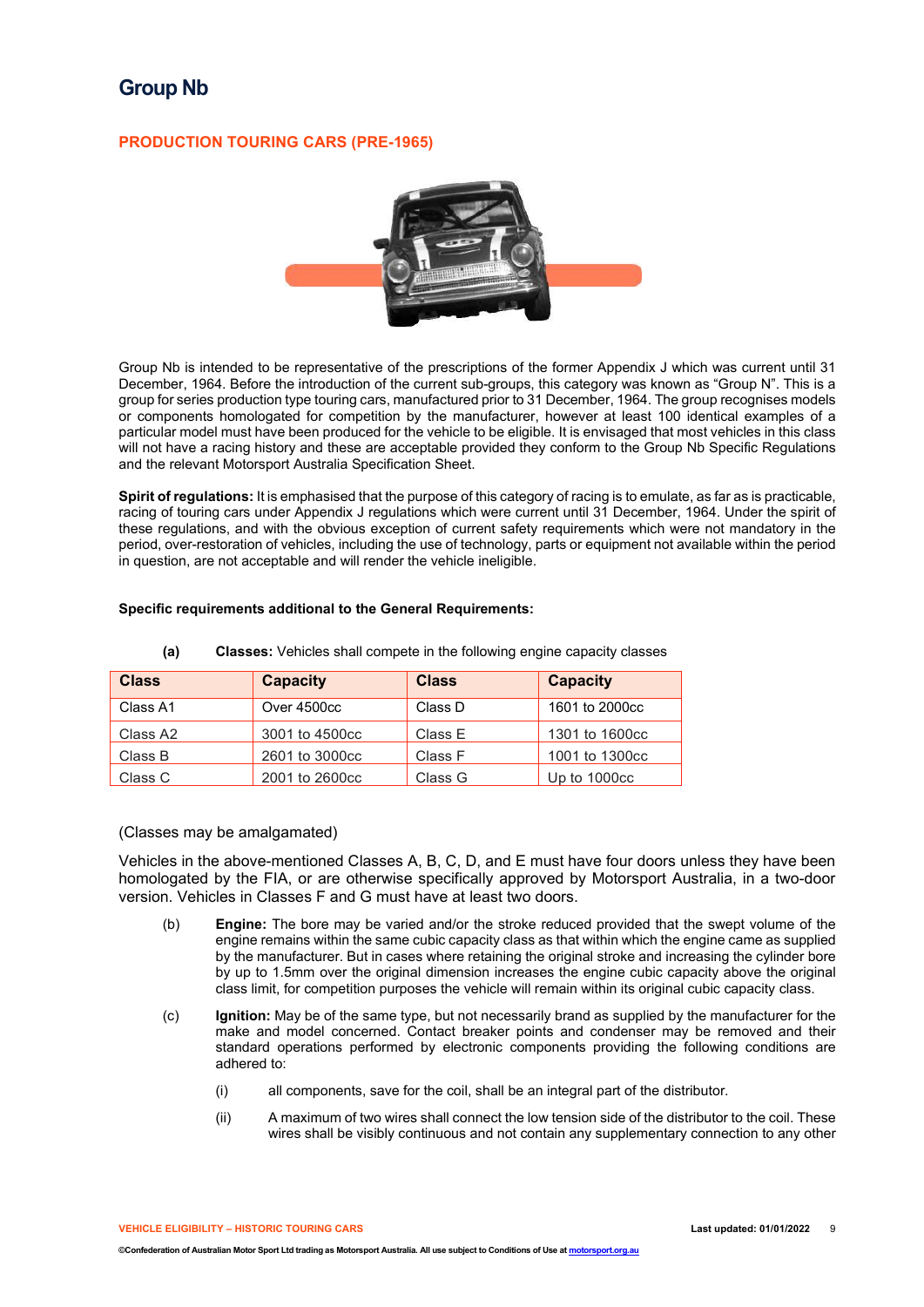# **Group Nb**

### **PRODUCTION TOURING CARS (PRE-1965)**



Group Nb is intended to be representative of the prescriptions of the former Appendix J which was current until 31 December, 1964. Before the introduction of the current sub-groups, this category was known as "Group N". This is a group for series production type touring cars, manufactured prior to 31 December, 1964. The group recognises models or components homologated for competition by the manufacturer, however at least 100 identical examples of a particular model must have been produced for the vehicle to be eligible. It is envisaged that most vehicles in this class will not have a racing history and these are acceptable provided they conform to the Group Nb Specific Regulations and the relevant Motorsport Australia Specification Sheet.

**Spirit of regulations:** It is emphasised that the purpose of this category of racing is to emulate, as far as is practicable, racing of touring cars under Appendix J regulations which were current until 31 December, 1964. Under the spirit of these regulations, and with the obvious exception of current safety requirements which were not mandatory in the period, over-restoration of vehicles, including the use of technology, parts or equipment not available within the period in question, are not acceptable and will render the vehicle ineligible.

### **Specific requirements additional to the General Requirements:**

| <b>Class</b> | <b>Capacity</b> | <b>Class</b> | <b>Capacity</b> |
|--------------|-----------------|--------------|-----------------|
| Class A1     | Over 4500cc     | Class D      | 1601 to 2000cc  |
| Class A2     | 3001 to 4500cc  | Class E      | 1301 to 1600cc  |
| Class B      | 2601 to 3000cc  | Class F      | 1001 to 1300cc  |
| Class C      | 2001 to 2600cc  | Class G      | Up to 1000cc    |

**(a) Classes:** Vehicles shall compete in the following engine capacity classes

### (Classes may be amalgamated)

Vehicles in the above-mentioned Classes A, B, C, D, and E must have four doors unless they have been homologated by the FIA, or are otherwise specifically approved by Motorsport Australia, in a two-door version. Vehicles in Classes F and G must have at least two doors.

- (b) **Engine:** The bore may be varied and/or the stroke reduced provided that the swept volume of the engine remains within the same cubic capacity class as that within which the engine came as supplied by the manufacturer. But in cases where retaining the original stroke and increasing the cylinder bore by up to 1.5mm over the original dimension increases the engine cubic capacity above the original class limit, for competition purposes the vehicle will remain within its original cubic capacity class.
- (c) **Ignition:** May be of the same type, but not necessarily brand as supplied by the manufacturer for the make and model concerned. Contact breaker points and condenser may be removed and their standard operations performed by electronic components providing the following conditions are adhered to:
	- (i) all components, save for the coil, shall be an integral part of the distributor.
	- (ii) A maximum of two wires shall connect the low tension side of the distributor to the coil. These wires shall be visibly continuous and not contain any supplementary connection to any other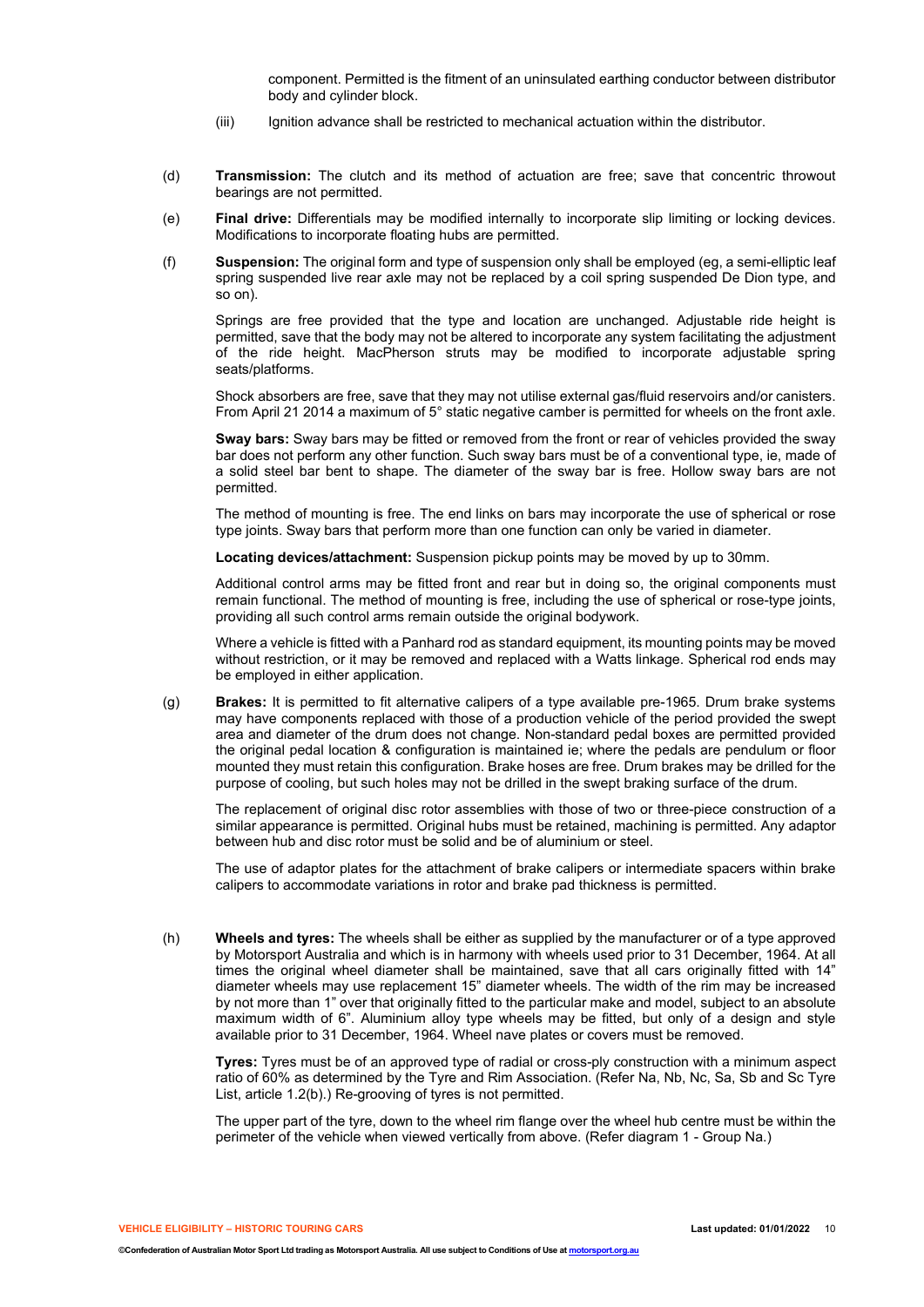component. Permitted is the fitment of an uninsulated earthing conductor between distributor body and cylinder block.

- (iii) Ignition advance shall be restricted to mechanical actuation within the distributor.
- (d) **Transmission:** The clutch and its method of actuation are free; save that concentric throwout bearings are not permitted.
- (e) **Final drive:** Differentials may be modified internally to incorporate slip limiting or locking devices. Modifications to incorporate floating hubs are permitted.
- (f) **Suspension:** The original form and type of suspension only shall be employed (eg, a semi-elliptic leaf spring suspended live rear axle may not be replaced by a coil spring suspended De Dion type, and so on).

Springs are free provided that the type and location are unchanged. Adjustable ride height is permitted, save that the body may not be altered to incorporate any system facilitating the adjustment of the ride height. MacPherson struts may be modified to incorporate adjustable spring seats/platforms.

Shock absorbers are free, save that they may not utilise external gas/fluid reservoirs and/or canisters. From April 21 2014 a maximum of 5° static negative camber is permitted for wheels on the front axle.

**Sway bars:** Sway bars may be fitted or removed from the front or rear of vehicles provided the sway bar does not perform any other function. Such sway bars must be of a conventional type, ie, made of a solid steel bar bent to shape. The diameter of the sway bar is free. Hollow sway bars are not permitted.

The method of mounting is free. The end links on bars may incorporate the use of spherical or rose type joints. Sway bars that perform more than one function can only be varied in diameter.

**Locating devices/attachment:** Suspension pickup points may be moved by up to 30mm.

Additional control arms may be fitted front and rear but in doing so, the original components must remain functional. The method of mounting is free, including the use of spherical or rose-type joints, providing all such control arms remain outside the original bodywork.

Where a vehicle is fitted with a Panhard rod as standard equipment, its mounting points may be moved without restriction, or it may be removed and replaced with a Watts linkage. Spherical rod ends may be employed in either application.

(g) **Brakes:** It is permitted to fit alternative calipers of a type available pre-1965. Drum brake systems may have components replaced with those of a production vehicle of the period provided the swept area and diameter of the drum does not change. Non-standard pedal boxes are permitted provided the original pedal location & configuration is maintained ie; where the pedals are pendulum or floor mounted they must retain this configuration. Brake hoses are free. Drum brakes may be drilled for the purpose of cooling, but such holes may not be drilled in the swept braking surface of the drum.

The replacement of original disc rotor assemblies with those of two or three-piece construction of a similar appearance is permitted. Original hubs must be retained, machining is permitted. Any adaptor between hub and disc rotor must be solid and be of aluminium or steel.

The use of adaptor plates for the attachment of brake calipers or intermediate spacers within brake calipers to accommodate variations in rotor and brake pad thickness is permitted.

(h) **Wheels and tyres:** The wheels shall be either as supplied by the manufacturer or of a type approved by Motorsport Australia and which is in harmony with wheels used prior to 31 December, 1964. At all times the original wheel diameter shall be maintained, save that all cars originally fitted with 14" diameter wheels may use replacement 15" diameter wheels. The width of the rim may be increased by not more than 1" over that originally fitted to the particular make and model, subject to an absolute maximum width of 6". Aluminium alloy type wheels may be fitted, but only of a design and style available prior to 31 December, 1964. Wheel nave plates or covers must be removed.

**Tyres:** Tyres must be of an approved type of radial or cross-ply construction with a minimum aspect ratio of 60% as determined by the Tyre and Rim Association. (Refer Na, Nb, Nc, Sa, Sb and Sc Tyre List, article 1.2(b).) Re-grooving of tyres is not permitted.

The upper part of the tyre, down to the wheel rim flange over the wheel hub centre must be within the perimeter of the vehicle when viewed vertically from above. (Refer diagram 1 - Group Na.)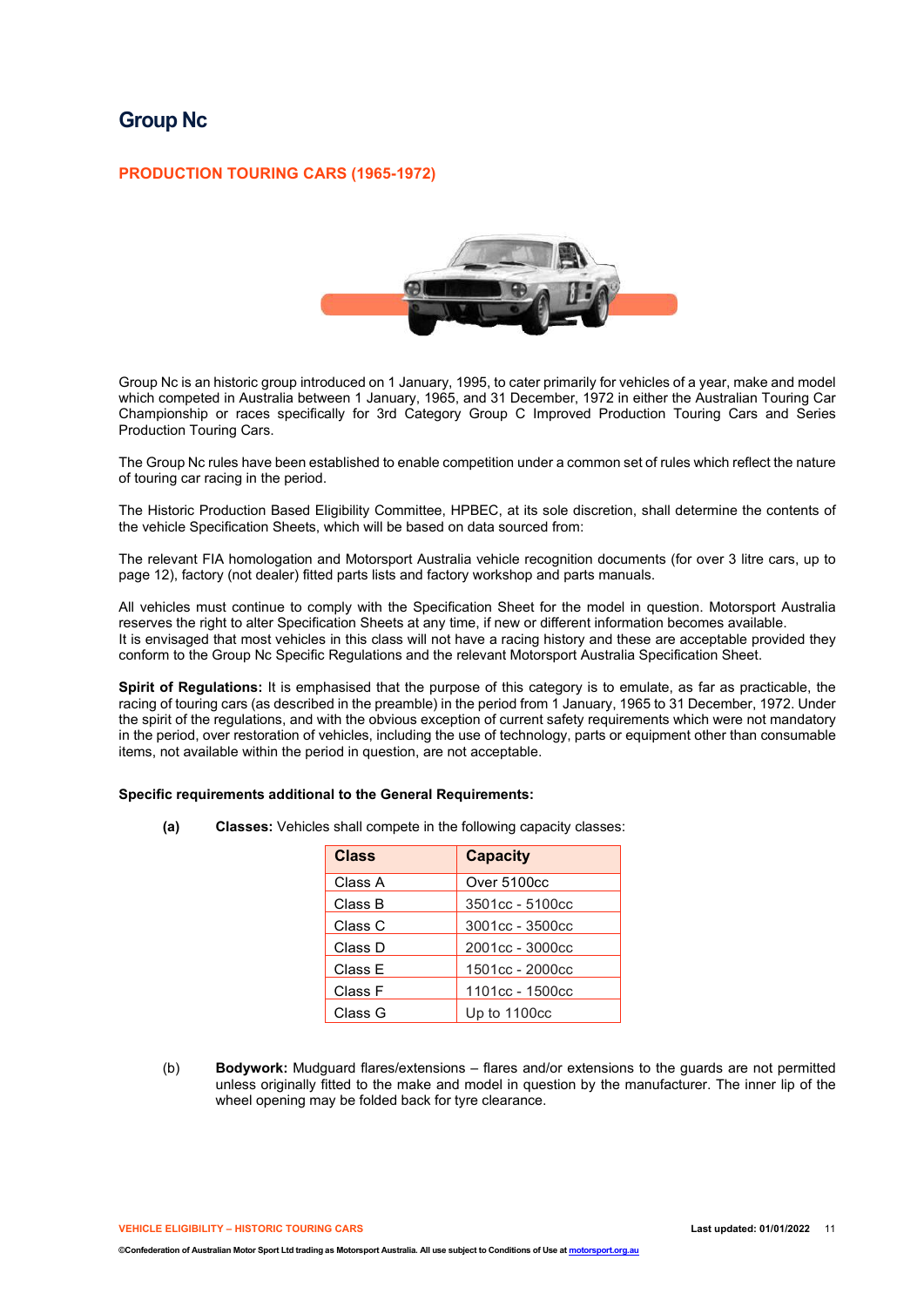## **Group Nc**

### **PRODUCTION TOURING CARS (1965-1972)**



Group Nc is an historic group introduced on 1 January, 1995, to cater primarily for vehicles of a year, make and model which competed in Australia between 1 January, 1965, and 31 December, 1972 in either the Australian Touring Car Championship or races specifically for 3rd Category Group C Improved Production Touring Cars and Series Production Touring Cars.

The Group Nc rules have been established to enable competition under a common set of rules which reflect the nature of touring car racing in the period.

The Historic Production Based Eligibility Committee, HPBEC, at its sole discretion, shall determine the contents of the vehicle Specification Sheets, which will be based on data sourced from:

The relevant FIA homologation and Motorsport Australia vehicle recognition documents (for over 3 litre cars, up to page 12), factory (not dealer) fitted parts lists and factory workshop and parts manuals.

All vehicles must continue to comply with the Specification Sheet for the model in question. Motorsport Australia reserves the right to alter Specification Sheets at any time, if new or different information becomes available. It is envisaged that most vehicles in this class will not have a racing history and these are acceptable provided they conform to the Group Nc Specific Regulations and the relevant Motorsport Australia Specification Sheet.

**Spirit of Regulations:** It is emphasised that the purpose of this category is to emulate, as far as practicable, the racing of touring cars (as described in the preamble) in the period from 1 January, 1965 to 31 December, 1972. Under the spirit of the regulations, and with the obvious exception of current safety requirements which were not mandatory in the period, over restoration of vehicles, including the use of technology, parts or equipment other than consumable items, not available within the period in question, are not acceptable.

### **Specific requirements additional to the General Requirements:**

**(a) Classes:** Vehicles shall compete in the following capacity classes:

| <b>Class</b> | <b>Capacity</b> |
|--------------|-----------------|
| Class A      | Over 5100cc     |
| Class B      | 3501cc - 5100cc |
| Class C      | 3001cc - 3500cc |
| Class D      | 2001cc - 3000cc |
| Class E      | 1501cc - 2000cc |
| Class F      | 1101cc - 1500cc |
| Class G      | Up to 1100cc    |

(b) **Bodywork:** Mudguard flares/extensions – flares and/or extensions to the guards are not permitted unless originally fitted to the make and model in question by the manufacturer. The inner lip of the wheel opening may be folded back for tyre clearance.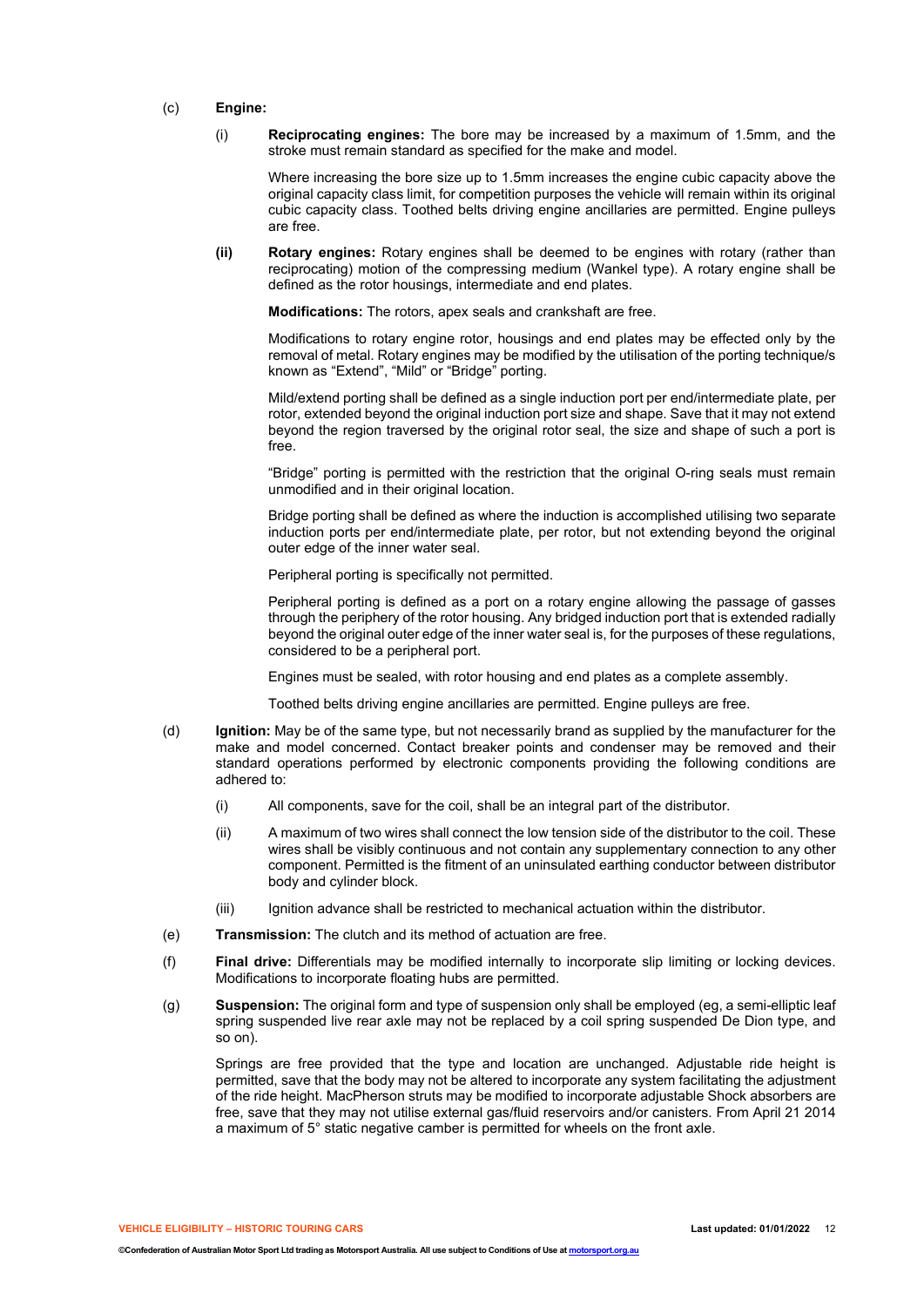### (c) **Engine:**

(i) **Reciprocating engines:** The bore may be increased by a maximum of 1.5mm, and the stroke must remain standard as specified for the make and model.

Where increasing the bore size up to 1.5mm increases the engine cubic capacity above the original capacity class limit, for competition purposes the vehicle will remain within its original cubic capacity class. Toothed belts driving engine ancillaries are permitted. Engine pulleys are free.

**(ii) Rotary engines:** Rotary engines shall be deemed to be engines with rotary (rather than reciprocating) motion of the compressing medium (Wankel type). A rotary engine shall be defined as the rotor housings, intermediate and end plates.

**Modifications:** The rotors, apex seals and crankshaft are free.

Modifications to rotary engine rotor, housings and end plates may be effected only by the removal of metal. Rotary engines may be modified by the utilisation of the porting technique/s known as "Extend", "Mild" or "Bridge" porting.

Mild/extend porting shall be defined as a single induction port per end/intermediate plate, per rotor, extended beyond the original induction port size and shape. Save that it may not extend beyond the region traversed by the original rotor seal, the size and shape of such a port is free.

"Bridge" porting is permitted with the restriction that the original O-ring seals must remain unmodified and in their original location.

Bridge porting shall be defined as where the induction is accomplished utilising two separate induction ports per end/intermediate plate, per rotor, but not extending beyond the original outer edge of the inner water seal.

Peripheral porting is specifically not permitted.

Peripheral porting is defined as a port on a rotary engine allowing the passage of gasses through the periphery of the rotor housing. Any bridged induction port that is extended radially beyond the original outer edge of the inner water seal is, for the purposes of these regulations, considered to be a peripheral port.

Engines must be sealed, with rotor housing and end plates as a complete assembly.

Toothed belts driving engine ancillaries are permitted. Engine pulleys are free.

- (d) **Ignition:** May be of the same type, but not necessarily brand as supplied by the manufacturer for the make and model concerned. Contact breaker points and condenser may be removed and their standard operations performed by electronic components providing the following conditions are adhered to:
	- (i) All components, save for the coil, shall be an integral part of the distributor.
	- (ii) A maximum of two wires shall connect the low tension side of the distributor to the coil. These wires shall be visibly continuous and not contain any supplementary connection to any other component. Permitted is the fitment of an uninsulated earthing conductor between distributor body and cylinder block.
	- (iii) Ignition advance shall be restricted to mechanical actuation within the distributor.
- (e) **Transmission:** The clutch and its method of actuation are free.
- (f) **Final drive:** Differentials may be modified internally to incorporate slip limiting or locking devices. Modifications to incorporate floating hubs are permitted.
- (g) **Suspension:** The original form and type of suspension only shall be employed (eg, a semi-elliptic leaf spring suspended live rear axle may not be replaced by a coil spring suspended De Dion type, and so on).

Springs are free provided that the type and location are unchanged. Adjustable ride height is permitted, save that the body may not be altered to incorporate any system facilitating the adjustment of the ride height. MacPherson struts may be modified to incorporate adjustable Shock absorbers are free, save that they may not utilise external gas/fluid reservoirs and/or canisters. From April 21 2014 a maximum of 5° static negative camber is permitted for wheels on the front axle.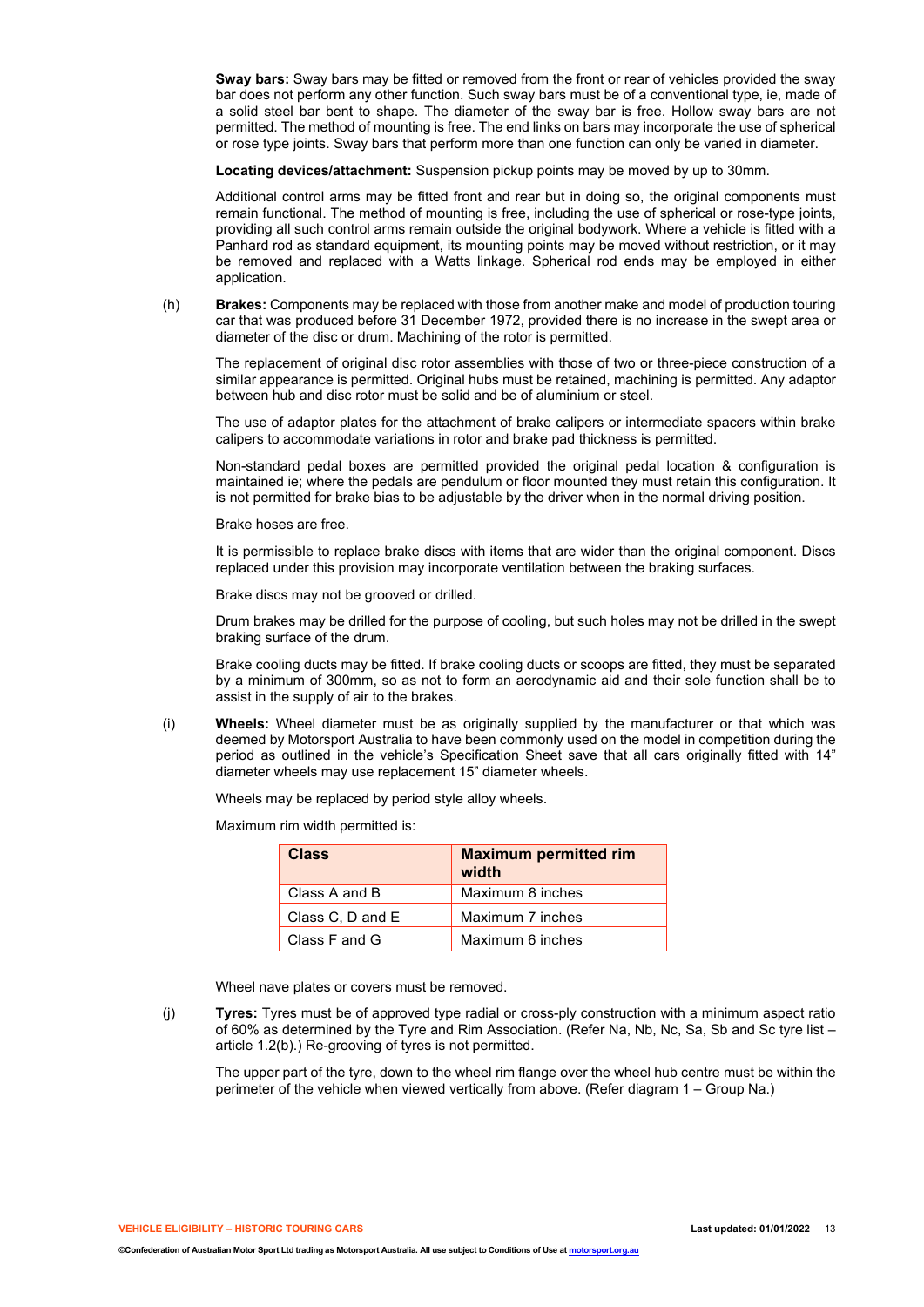**Sway bars:** Sway bars may be fitted or removed from the front or rear of vehicles provided the sway bar does not perform any other function. Such sway bars must be of a conventional type, ie, made of a solid steel bar bent to shape. The diameter of the sway bar is free. Hollow sway bars are not permitted. The method of mounting is free. The end links on bars may incorporate the use of spherical or rose type joints. Sway bars that perform more than one function can only be varied in diameter.

**Locating devices/attachment:** Suspension pickup points may be moved by up to 30mm.

Additional control arms may be fitted front and rear but in doing so, the original components must remain functional. The method of mounting is free, including the use of spherical or rose-type joints, providing all such control arms remain outside the original bodywork. Where a vehicle is fitted with a Panhard rod as standard equipment, its mounting points may be moved without restriction, or it may be removed and replaced with a Watts linkage. Spherical rod ends may be employed in either application.

(h) **Brakes:** Components may be replaced with those from another make and model of production touring car that was produced before 31 December 1972, provided there is no increase in the swept area or diameter of the disc or drum. Machining of the rotor is permitted.

The replacement of original disc rotor assemblies with those of two or three-piece construction of a similar appearance is permitted. Original hubs must be retained, machining is permitted. Any adaptor between hub and disc rotor must be solid and be of aluminium or steel.

The use of adaptor plates for the attachment of brake calipers or intermediate spacers within brake calipers to accommodate variations in rotor and brake pad thickness is permitted.

Non-standard pedal boxes are permitted provided the original pedal location & configuration is maintained ie; where the pedals are pendulum or floor mounted they must retain this configuration. It is not permitted for brake bias to be adjustable by the driver when in the normal driving position.

Brake hoses are free.

It is permissible to replace brake discs with items that are wider than the original component. Discs replaced under this provision may incorporate ventilation between the braking surfaces.

Brake discs may not be grooved or drilled.

Drum brakes may be drilled for the purpose of cooling, but such holes may not be drilled in the swept braking surface of the drum.

Brake cooling ducts may be fitted. If brake cooling ducts or scoops are fitted, they must be separated by a minimum of 300mm, so as not to form an aerodynamic aid and their sole function shall be to assist in the supply of air to the brakes.

(i) **Wheels:** Wheel diameter must be as originally supplied by the manufacturer or that which was deemed by Motorsport Australia to have been commonly used on the model in competition during the period as outlined in the vehicle's Specification Sheet save that all cars originally fitted with 14" diameter wheels may use replacement 15" diameter wheels.

Wheels may be replaced by period style alloy wheels.

Maximum rim width permitted is:

| <b>Class</b>     | <b>Maximum permitted rim</b><br>width |
|------------------|---------------------------------------|
| Class A and B    | Maximum 8 inches                      |
| Class C, D and E | Maximum 7 inches                      |
| Class F and G    | Maximum 6 inches                      |

Wheel nave plates or covers must be removed.

(j) **Tyres:** Tyres must be of approved type radial or cross-ply construction with a minimum aspect ratio of 60% as determined by the Tyre and Rim Association. (Refer Na, Nb, Nc, Sa, Sb and Sc tyre list – article 1.2(b).) Re-grooving of tyres is not permitted.

The upper part of the tyre, down to the wheel rim flange over the wheel hub centre must be within the perimeter of the vehicle when viewed vertically from above. (Refer diagram 1 – Group Na.)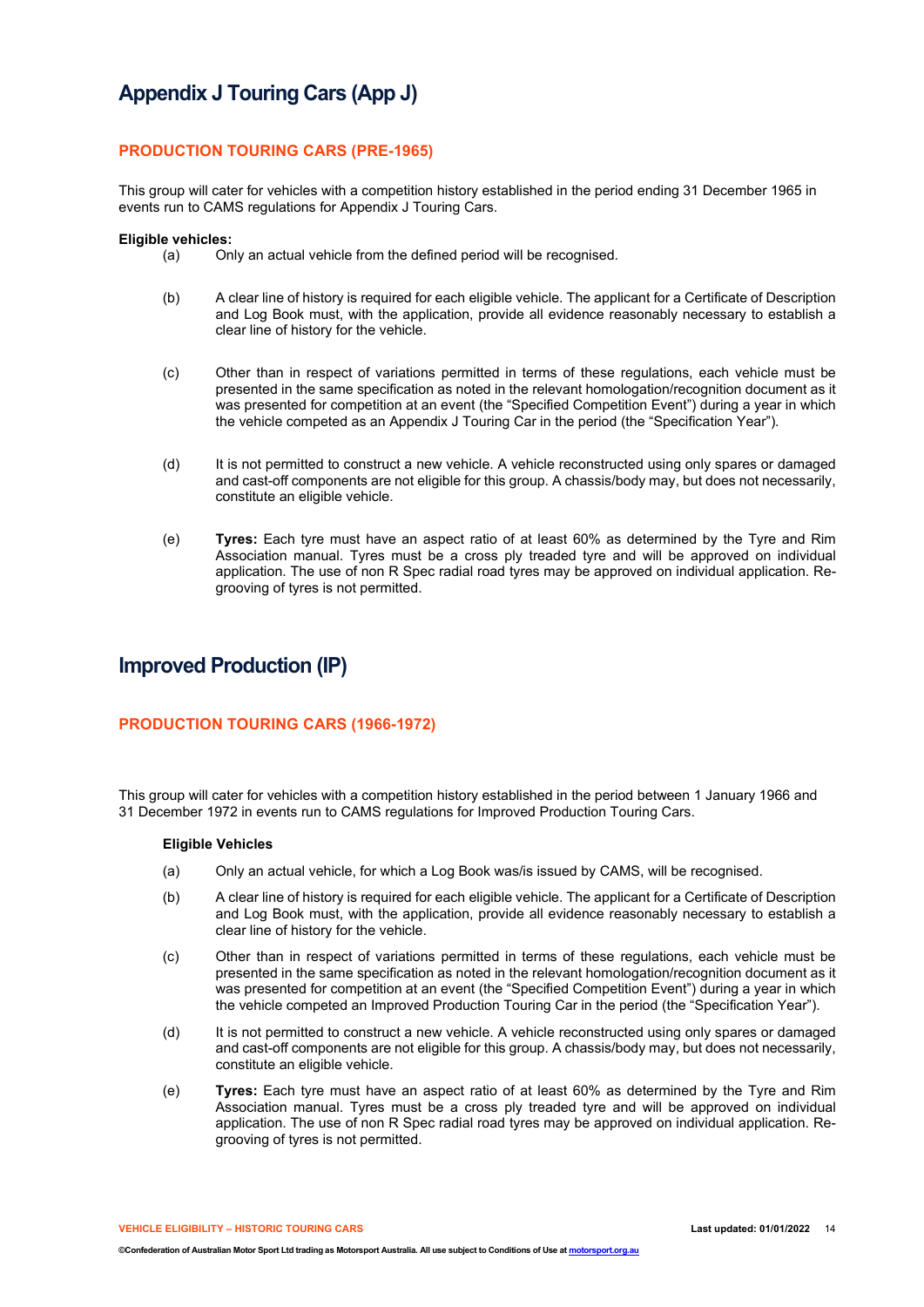# **Appendix J Touring Cars (App J)**

### **PRODUCTION TOURING CARS (PRE-1965)**

This group will cater for vehicles with a competition history established in the period ending 31 December 1965 in events run to CAMS regulations for Appendix J Touring Cars.

#### **Eligible vehicles:**

- (a) Only an actual vehicle from the defined period will be recognised.
- (b) A clear line of history is required for each eligible vehicle. The applicant for a Certificate of Description and Log Book must, with the application, provide all evidence reasonably necessary to establish a clear line of history for the vehicle.
- (c) Other than in respect of variations permitted in terms of these regulations, each vehicle must be presented in the same specification as noted in the relevant homologation/recognition document as it was presented for competition at an event (the "Specified Competition Event") during a year in which the vehicle competed as an Appendix J Touring Car in the period (the "Specification Year").
- (d) It is not permitted to construct a new vehicle. A vehicle reconstructed using only spares or damaged and cast-off components are not eligible for this group. A chassis/body may, but does not necessarily, constitute an eligible vehicle.
- (e) **Tyres:** Each tyre must have an aspect ratio of at least 60% as determined by the Tyre and Rim Association manual. Tyres must be a cross ply treaded tyre and will be approved on individual application. The use of non R Spec radial road tyres may be approved on individual application. Regrooving of tyres is not permitted.

# **Improved Production (IP)**

### **PRODUCTION TOURING CARS (1966-1972)**

This group will cater for vehicles with a competition history established in the period between 1 January 1966 and 31 December 1972 in events run to CAMS regulations for Improved Production Touring Cars.

### **Eligible Vehicles**

- (a) Only an actual vehicle, for which a Log Book was/is issued by CAMS, will be recognised.
- (b) A clear line of history is required for each eligible vehicle. The applicant for a Certificate of Description and Log Book must, with the application, provide all evidence reasonably necessary to establish a clear line of history for the vehicle.
- (c) Other than in respect of variations permitted in terms of these regulations, each vehicle must be presented in the same specification as noted in the relevant homologation/recognition document as it was presented for competition at an event (the "Specified Competition Event") during a year in which the vehicle competed an Improved Production Touring Car in the period (the "Specification Year").
- (d) It is not permitted to construct a new vehicle. A vehicle reconstructed using only spares or damaged and cast-off components are not eligible for this group. A chassis/body may, but does not necessarily, constitute an eligible vehicle.
- (e) **Tyres:** Each tyre must have an aspect ratio of at least 60% as determined by the Tyre and Rim Association manual. Tyres must be a cross ply treaded tyre and will be approved on individual application. The use of non R Spec radial road tyres may be approved on individual application. Regrooving of tyres is not permitted.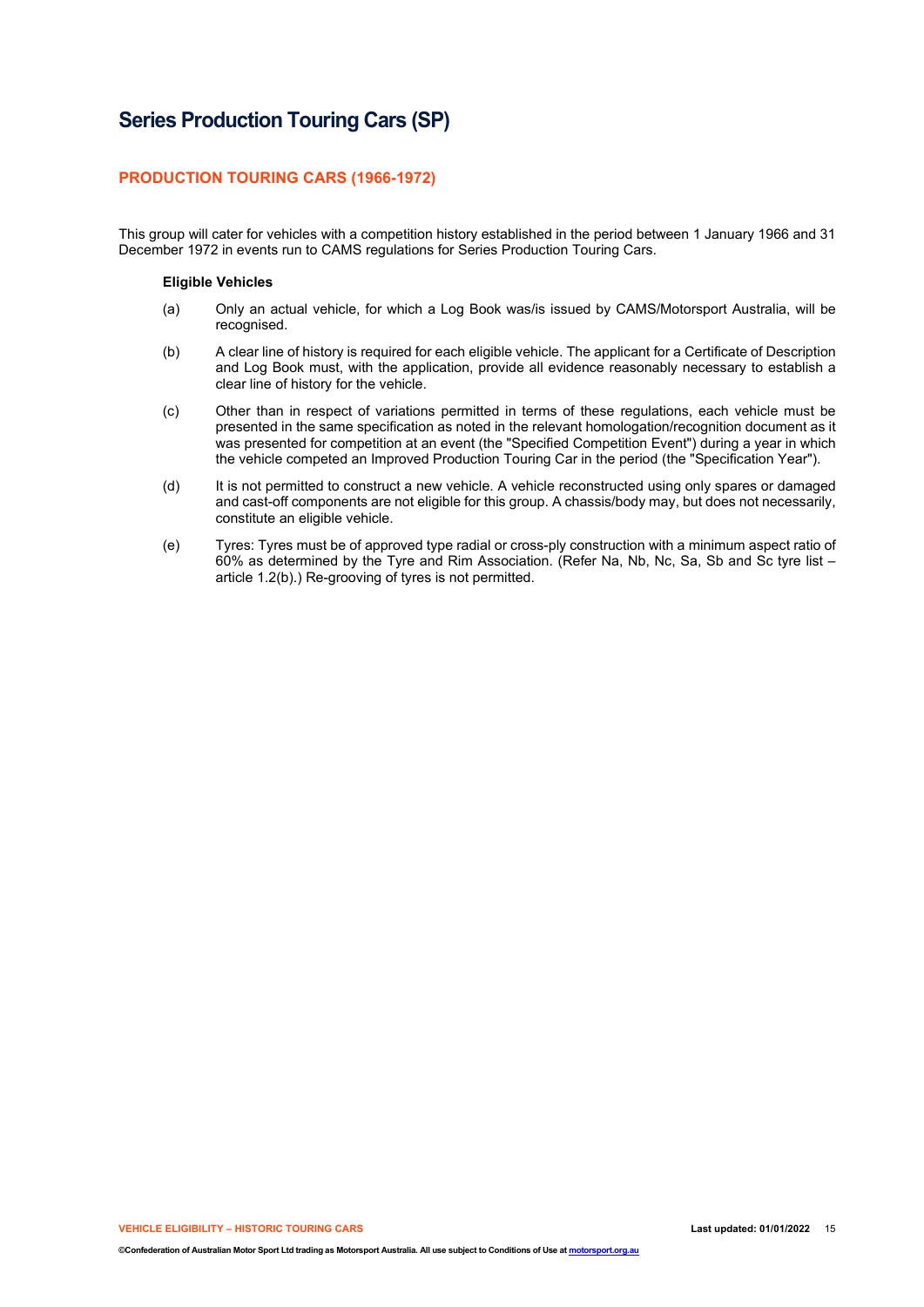# **Series Production Touring Cars (SP)**

### **PRODUCTION TOURING CARS (1966-1972)**

This group will cater for vehicles with a competition history established in the period between 1 January 1966 and 31 December 1972 in events run to CAMS regulations for Series Production Touring Cars.

#### **Eligible Vehicles**

- (a) Only an actual vehicle, for which a Log Book was/is issued by CAMS/Motorsport Australia, will be recognised.
- (b) A clear line of history is required for each eligible vehicle. The applicant for a Certificate of Description and Log Book must, with the application, provide all evidence reasonably necessary to establish a clear line of history for the vehicle.
- (c) Other than in respect of variations permitted in terms of these regulations, each vehicle must be presented in the same specification as noted in the relevant homologation/recognition document as it was presented for competition at an event (the "Specified Competition Event") during a year in which the vehicle competed an Improved Production Touring Car in the period (the "Specification Year").
- (d) It is not permitted to construct a new vehicle. A vehicle reconstructed using only spares or damaged and cast-off components are not eligible for this group. A chassis/body may, but does not necessarily, constitute an eligible vehicle.
- (e) Tyres: Tyres must be of approved type radial or cross-ply construction with a minimum aspect ratio of 60% as determined by the Tyre and Rim Association. (Refer Na, Nb, Nc, Sa, Sb and Sc tyre list – article 1.2(b).) Re-grooving of tyres is not permitted.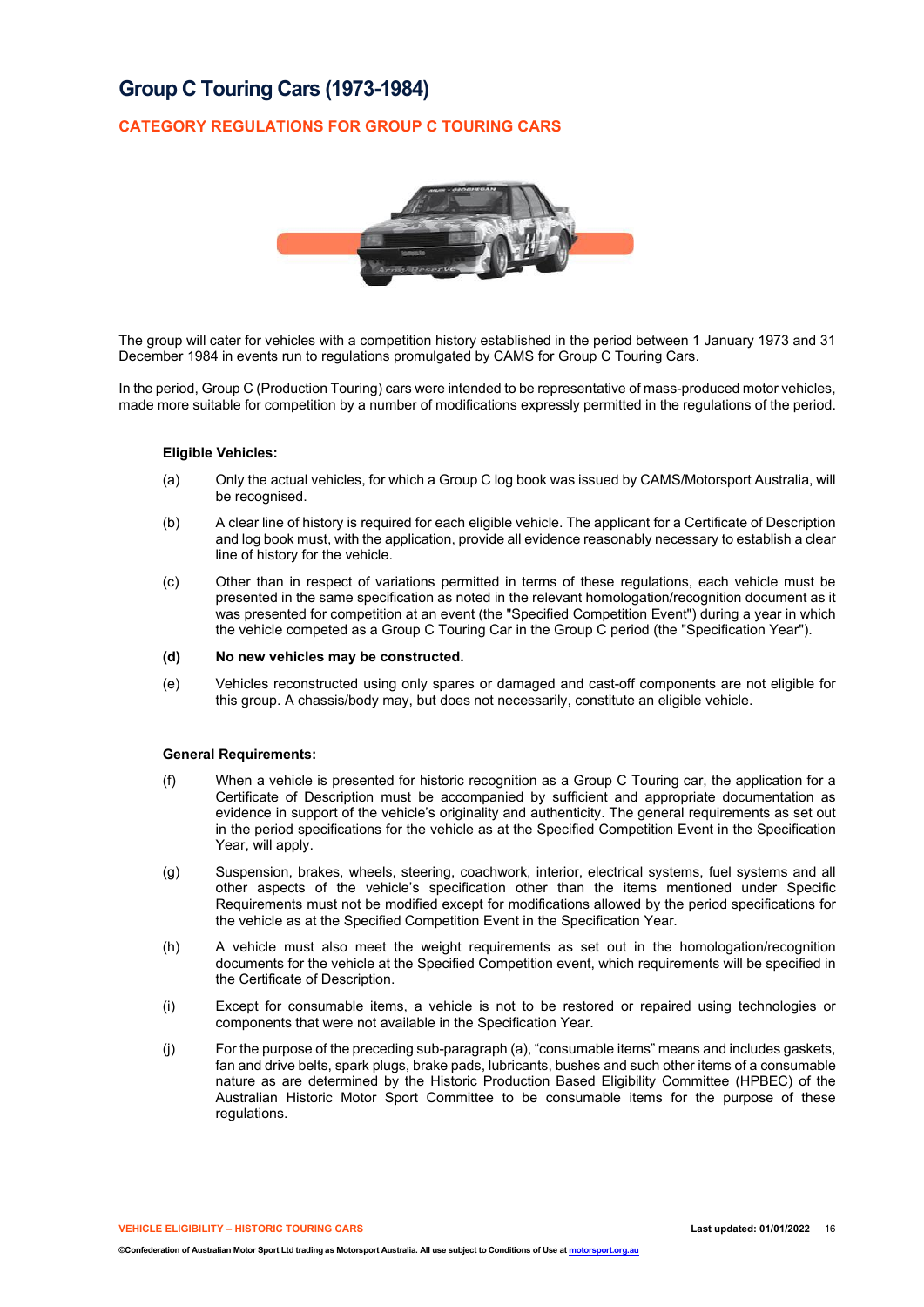# **Group C Touring Cars (1973-1984)**

## **CATEGORY REGULATIONS FOR GROUP C TOURING CARS**



The group will cater for vehicles with a competition history established in the period between 1 January 1973 and 31 December 1984 in events run to regulations promulgated by CAMS for Group C Touring Cars.

In the period, Group C (Production Touring) cars were intended to be representative of mass-produced motor vehicles, made more suitable for competition by a number of modifications expressly permitted in the regulations of the period.

### **Eligible Vehicles:**

- (a) Only the actual vehicles, for which a Group C log book was issued by CAMS/Motorsport Australia, will be recognised.
- (b) A clear line of history is required for each eligible vehicle. The applicant for a Certificate of Description and log book must, with the application, provide all evidence reasonably necessary to establish a clear line of history for the vehicle.
- (c) Other than in respect of variations permitted in terms of these regulations, each vehicle must be presented in the same specification as noted in the relevant homologation/recognition document as it was presented for competition at an event (the "Specified Competition Event") during a year in which the vehicle competed as a Group C Touring Car in the Group C period (the "Specification Year").

#### **(d) No new vehicles may be constructed.**

(e) Vehicles reconstructed using only spares or damaged and cast-off components are not eligible for this group. A chassis/body may, but does not necessarily, constitute an eligible vehicle.

### **General Requirements:**

- (f) When a vehicle is presented for historic recognition as a Group C Touring car, the application for a Certificate of Description must be accompanied by sufficient and appropriate documentation as evidence in support of the vehicle's originality and authenticity. The general requirements as set out in the period specifications for the vehicle as at the Specified Competition Event in the Specification Year, will apply.
- (g) Suspension, brakes, wheels, steering, coachwork, interior, electrical systems, fuel systems and all other aspects of the vehicle's specification other than the items mentioned under Specific Requirements must not be modified except for modifications allowed by the period specifications for the vehicle as at the Specified Competition Event in the Specification Year.
- (h) A vehicle must also meet the weight requirements as set out in the homologation/recognition documents for the vehicle at the Specified Competition event, which requirements will be specified in the Certificate of Description.
- (i) Except for consumable items, a vehicle is not to be restored or repaired using technologies or components that were not available in the Specification Year.
- (j) For the purpose of the preceding sub-paragraph (a), "consumable items" means and includes gaskets, fan and drive belts, spark plugs, brake pads, lubricants, bushes and such other items of a consumable nature as are determined by the Historic Production Based Eligibility Committee (HPBEC) of the Australian Historic Motor Sport Committee to be consumable items for the purpose of these regulations.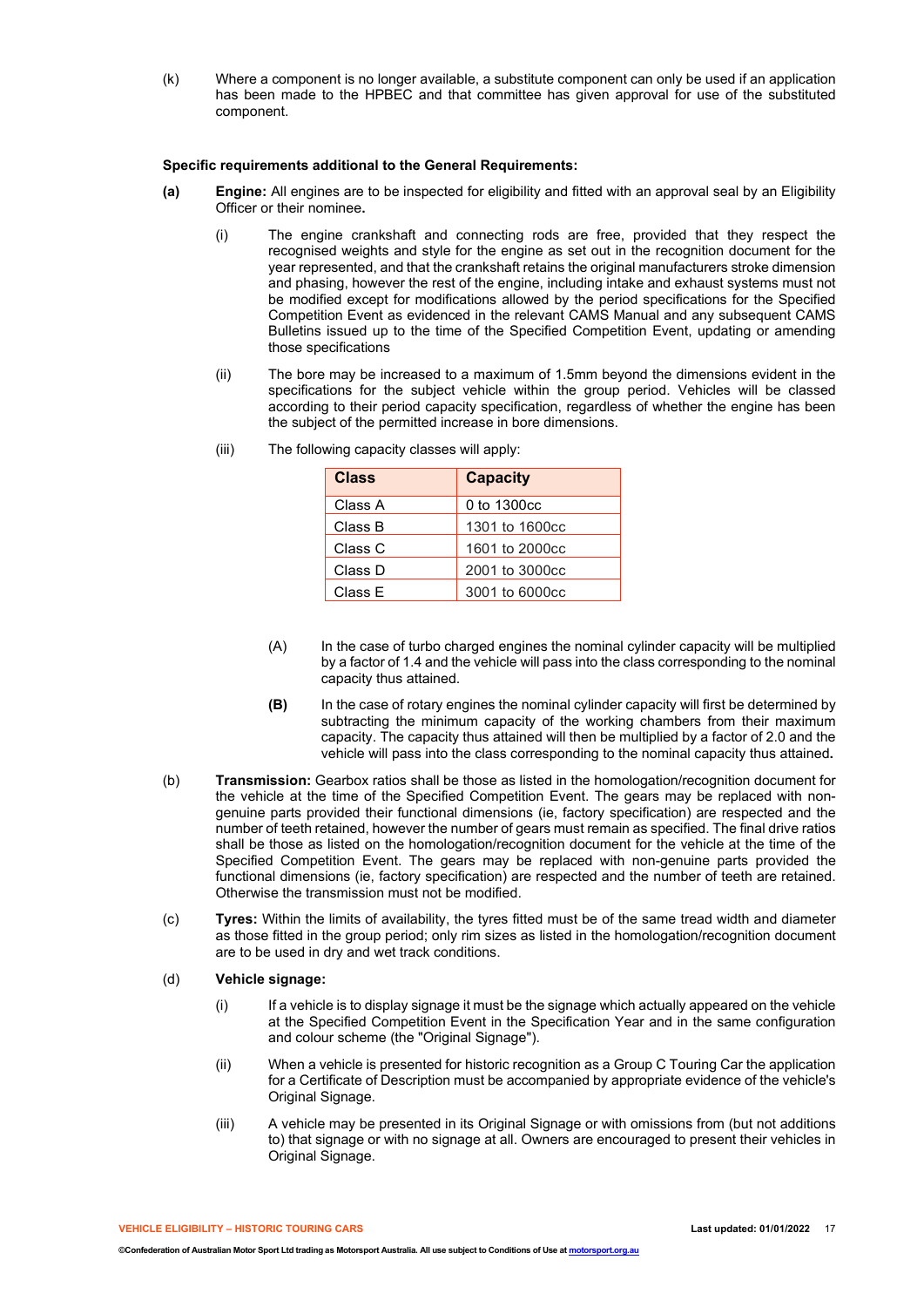(k) Where a component is no longer available, a substitute component can only be used if an application has been made to the HPBEC and that committee has given approval for use of the substituted component.

### **Specific requirements additional to the General Requirements:**

- **(a) Engine:** All engines are to be inspected for eligibility and fitted with an approval seal by an Eligibility Officer or their nominee**.**
	- (i) The engine crankshaft and connecting rods are free, provided that they respect the recognised weights and style for the engine as set out in the recognition document for the year represented, and that the crankshaft retains the original manufacturers stroke dimension and phasing, however the rest of the engine, including intake and exhaust systems must not be modified except for modifications allowed by the period specifications for the Specified Competition Event as evidenced in the relevant CAMS Manual and any subsequent CAMS Bulletins issued up to the time of the Specified Competition Event, updating or amending those specifications
	- (ii) The bore may be increased to a maximum of 1.5mm beyond the dimensions evident in the specifications for the subject vehicle within the group period. Vehicles will be classed according to their period capacity specification, regardless of whether the engine has been the subject of the permitted increase in bore dimensions.

| <b>Class</b> | <b>Capacity</b> |
|--------------|-----------------|
| Class A      | 0 to 1300cc     |
| Class B      | 1301 to 1600cc  |
| Class C      | 1601 to 2000cc  |
| Class D      | 2001 to 3000cc  |
| Class E      | 3001 to 6000cc  |

(iii) The following capacity classes will apply:

- (A) In the case of turbo charged engines the nominal cylinder capacity will be multiplied by a factor of 1.4 and the vehicle will pass into the class corresponding to the nominal capacity thus attained.
- **(B)** In the case of rotary engines the nominal cylinder capacity will first be determined by subtracting the minimum capacity of the working chambers from their maximum capacity. The capacity thus attained will then be multiplied by a factor of 2.0 and the vehicle will pass into the class corresponding to the nominal capacity thus attained**.**
- (b) **Transmission:** Gearbox ratios shall be those as listed in the homologation/recognition document for the vehicle at the time of the Specified Competition Event. The gears may be replaced with nongenuine parts provided their functional dimensions (ie, factory specification) are respected and the number of teeth retained, however the number of gears must remain as specified. The final drive ratios shall be those as listed on the homologation/recognition document for the vehicle at the time of the Specified Competition Event. The gears may be replaced with non-genuine parts provided the functional dimensions (ie, factory specification) are respected and the number of teeth are retained. Otherwise the transmission must not be modified.
- (c) **Tyres:** Within the limits of availability, the tyres fitted must be of the same tread width and diameter as those fitted in the group period; only rim sizes as listed in the homologation/recognition document are to be used in dry and wet track conditions.

### (d) **Vehicle signage:**

- (i) If a vehicle is to display signage it must be the signage which actually appeared on the vehicle at the Specified Competition Event in the Specification Year and in the same configuration and colour scheme (the "Original Signage").
- (ii) When a vehicle is presented for historic recognition as a Group C Touring Car the application for a Certificate of Description must be accompanied by appropriate evidence of the vehicle's Original Signage.
- (iii) A vehicle may be presented in its Original Signage or with omissions from (but not additions to) that signage or with no signage at all. Owners are encouraged to present their vehicles in Original Signage.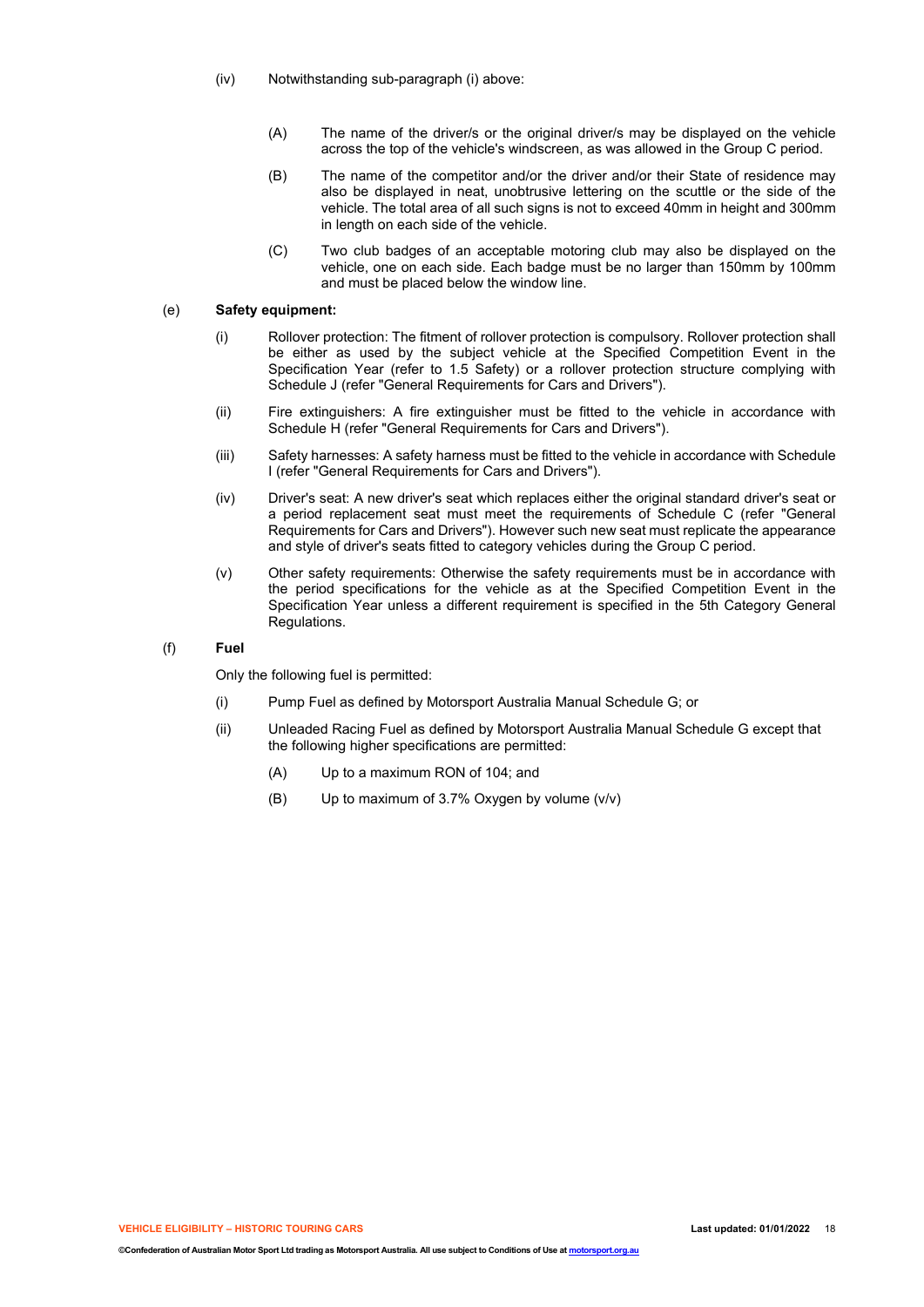- (iv) Notwithstanding sub-paragraph (i) above:
	- (A) The name of the driver/s or the original driver/s may be displayed on the vehicle across the top of the vehicle's windscreen, as was allowed in the Group C period.
	- (B) The name of the competitor and/or the driver and/or their State of residence may also be displayed in neat, unobtrusive lettering on the scuttle or the side of the vehicle. The total area of all such signs is not to exceed 40mm in height and 300mm in length on each side of the vehicle.
	- (C) Two club badges of an acceptable motoring club may also be displayed on the vehicle, one on each side. Each badge must be no larger than 150mm by 100mm and must be placed below the window line.

### (e) **Safety equipment:**

- (i) Rollover protection: The fitment of rollover protection is compulsory. Rollover protection shall be either as used by the subject vehicle at the Specified Competition Event in the Specification Year (refer to 1.5 Safety) or a rollover protection structure complying with Schedule J (refer "General Requirements for Cars and Drivers").
- (ii) Fire extinguishers: A fire extinguisher must be fitted to the vehicle in accordance with Schedule H (refer "General Requirements for Cars and Drivers").
- (iii) Safety harnesses: A safety harness must be fitted to the vehicle in accordance with Schedule I (refer "General Requirements for Cars and Drivers").
- (iv) Driver's seat: A new driver's seat which replaces either the original standard driver's seat or a period replacement seat must meet the requirements of Schedule C (refer "General Requirements for Cars and Drivers"). However such new seat must replicate the appearance and style of driver's seats fitted to category vehicles during the Group C period.
- (v) Other safety requirements: Otherwise the safety requirements must be in accordance with the period specifications for the vehicle as at the Specified Competition Event in the Specification Year unless a different requirement is specified in the 5th Category General Regulations.

#### (f) **Fuel**

Only the following fuel is permitted:

- (i) Pump Fuel as defined by Motorsport Australia Manual Schedule G; or
- (ii) Unleaded Racing Fuel as defined by Motorsport Australia Manual Schedule G except that the following higher specifications are permitted:
	- (A) Up to a maximum RON of 104; and
	- (B) Up to maximum of 3.7% Oxygen by volume (v/v)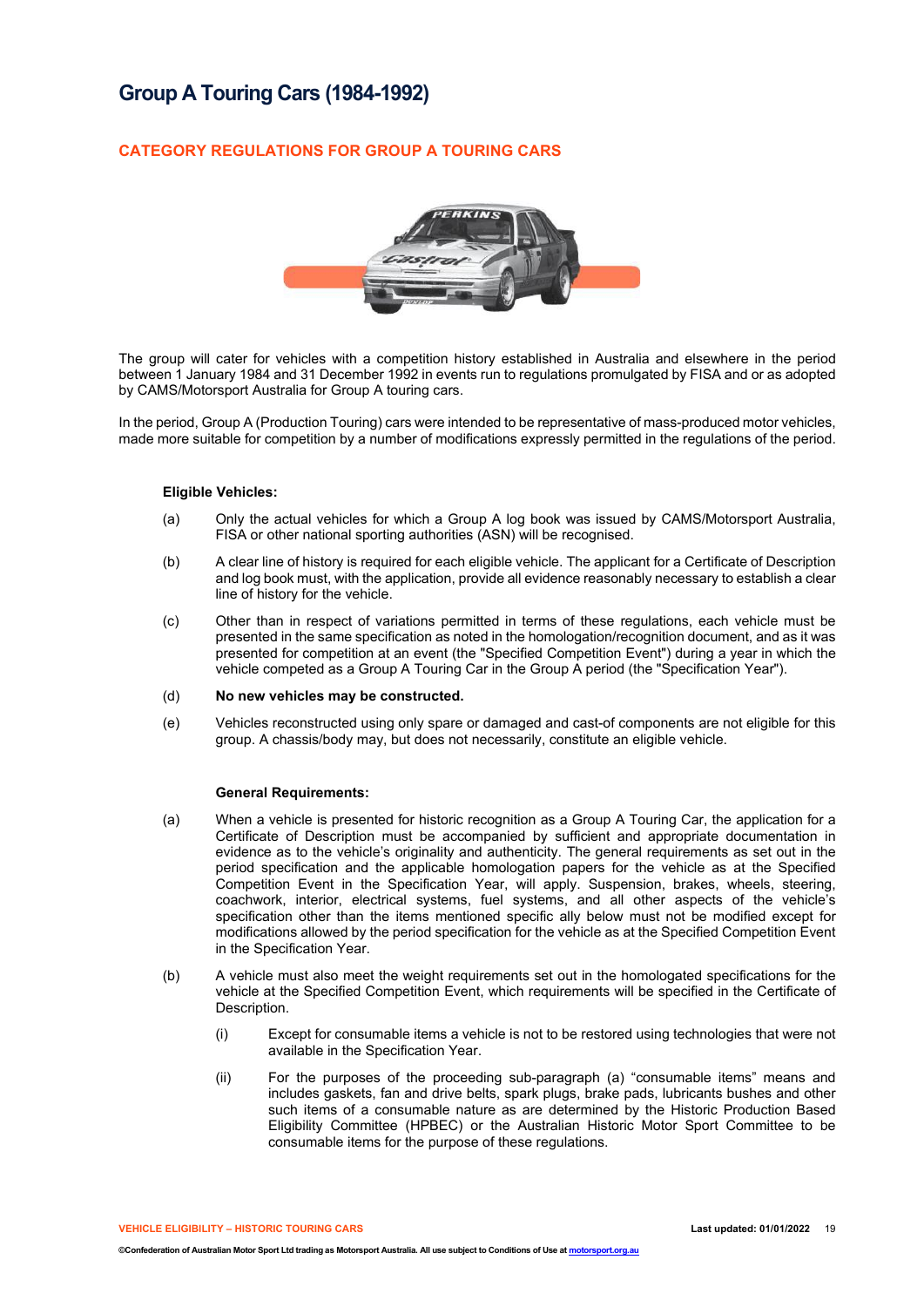# **Group A Touring Cars (1984-1992)**

## **CATEGORY REGULATIONS FOR GROUP A TOURING CARS**



The group will cater for vehicles with a competition history established in Australia and elsewhere in the period between 1 January 1984 and 31 December 1992 in events run to regulations promulgated by FISA and or as adopted by CAMS/Motorsport Australia for Group A touring cars.

In the period, Group A (Production Touring) cars were intended to be representative of mass-produced motor vehicles, made more suitable for competition by a number of modifications expressly permitted in the regulations of the period.

#### **Eligible Vehicles:**

- (a) Only the actual vehicles for which a Group A log book was issued by CAMS/Motorsport Australia, FISA or other national sporting authorities (ASN) will be recognised.
- (b) A clear line of history is required for each eligible vehicle. The applicant for a Certificate of Description and log book must, with the application, provide all evidence reasonably necessary to establish a clear line of history for the vehicle.
- (c) Other than in respect of variations permitted in terms of these regulations, each vehicle must be presented in the same specification as noted in the homologation/recognition document, and as it was presented for competition at an event (the "Specified Competition Event") during a year in which the vehicle competed as a Group A Touring Car in the Group A period (the "Specification Year").
- (d) **No new vehicles may be constructed.**
- (e) Vehicles reconstructed using only spare or damaged and cast-of components are not eligible for this group. A chassis/body may, but does not necessarily, constitute an eligible vehicle.

#### **General Requirements:**

- (a) When a vehicle is presented for historic recognition as a Group A Touring Car, the application for a Certificate of Description must be accompanied by sufficient and appropriate documentation in evidence as to the vehicle's originality and authenticity. The general requirements as set out in the period specification and the applicable homologation papers for the vehicle as at the Specified Competition Event in the Specification Year, will apply. Suspension, brakes, wheels, steering, coachwork, interior, electrical systems, fuel systems, and all other aspects of the vehicle's specification other than the items mentioned specific ally below must not be modified except for modifications allowed by the period specification for the vehicle as at the Specified Competition Event in the Specification Year.
- (b) A vehicle must also meet the weight requirements set out in the homologated specifications for the vehicle at the Specified Competition Event, which requirements will be specified in the Certificate of Description.
	- (i) Except for consumable items a vehicle is not to be restored using technologies that were not available in the Specification Year.
	- (ii) For the purposes of the proceeding sub-paragraph (a) "consumable items" means and includes gaskets, fan and drive belts, spark plugs, brake pads, lubricants bushes and other such items of a consumable nature as are determined by the Historic Production Based Eligibility Committee (HPBEC) or the Australian Historic Motor Sport Committee to be consumable items for the purpose of these regulations.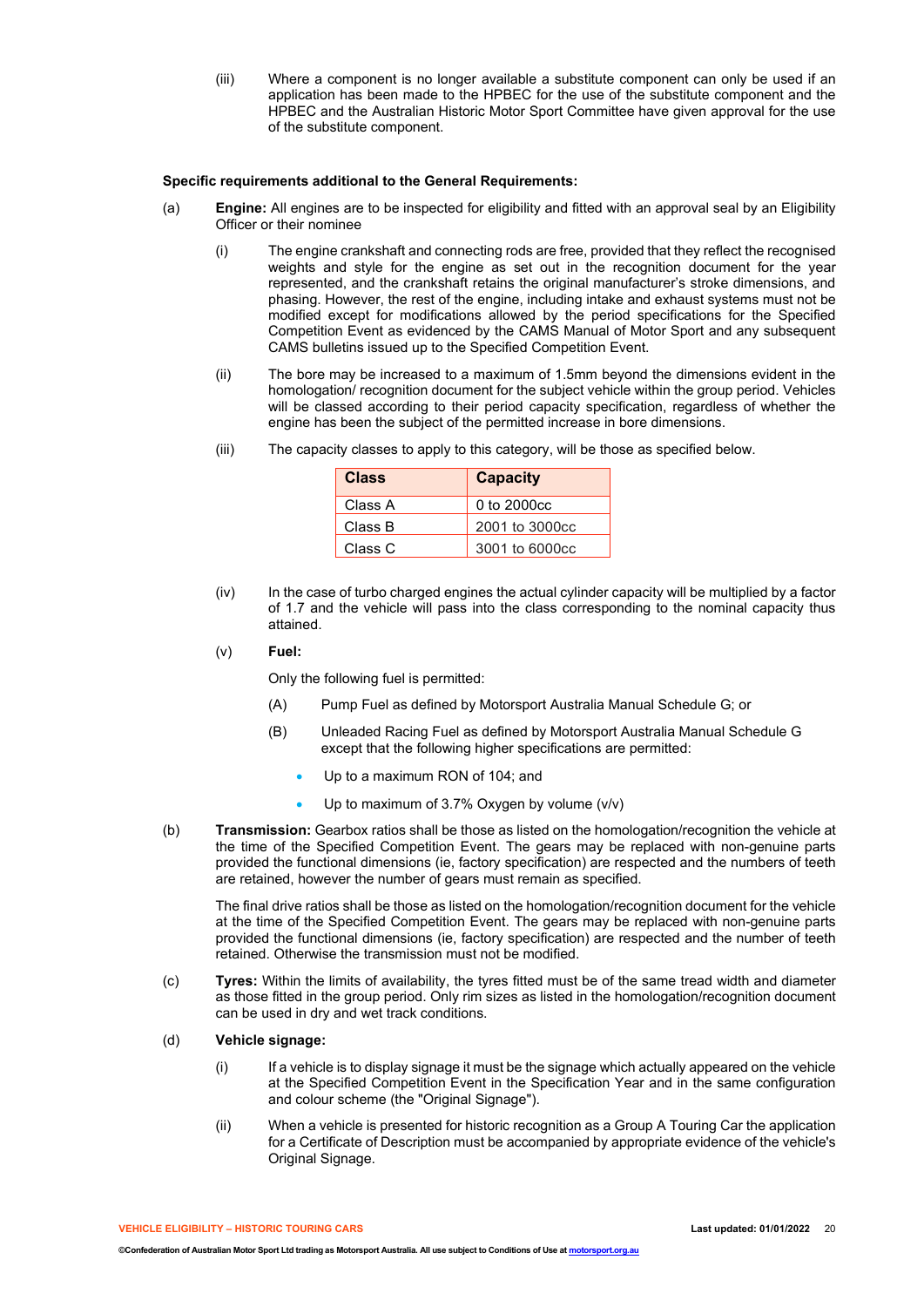(iii) Where a component is no longer available a substitute component can only be used if an application has been made to the HPBEC for the use of the substitute component and the HPBEC and the Australian Historic Motor Sport Committee have given approval for the use of the substitute component.

### **Specific requirements additional to the General Requirements:**

- (a) **Engine:** All engines are to be inspected for eligibility and fitted with an approval seal by an Eligibility Officer or their nominee
	- (i) The engine crankshaft and connecting rods are free, provided that they reflect the recognised weights and style for the engine as set out in the recognition document for the year represented, and the crankshaft retains the original manufacturer's stroke dimensions, and phasing. However, the rest of the engine, including intake and exhaust systems must not be modified except for modifications allowed by the period specifications for the Specified Competition Event as evidenced by the CAMS Manual of Motor Sport and any subsequent CAMS bulletins issued up to the Specified Competition Event.
	- (ii) The bore may be increased to a maximum of 1.5mm beyond the dimensions evident in the homologation/ recognition document for the subject vehicle within the group period. Vehicles will be classed according to their period capacity specification, regardless of whether the engine has been the subject of the permitted increase in bore dimensions.
	- (iii) The capacity classes to apply to this category, will be those as specified below.

| <b>Class</b> | <b>Capacity</b> |
|--------------|-----------------|
| Class A      | 0 to 2000cc     |
| Class B      | 2001 to 3000cc  |
| Class C      | 3001 to 6000cc  |

- (iv) In the case of turbo charged engines the actual cylinder capacity will be multiplied by a factor of 1.7 and the vehicle will pass into the class corresponding to the nominal capacity thus attained.
- (v) **Fuel:**

Only the following fuel is permitted:

- (A) Pump Fuel as defined by Motorsport Australia Manual Schedule G; or
- (B) Unleaded Racing Fuel as defined by Motorsport Australia Manual Schedule G except that the following higher specifications are permitted:
	- Up to a maximum RON of 104; and
	- Up to maximum of 3.7% Oxygen by volume (v/v)
- (b) **Transmission:** Gearbox ratios shall be those as listed on the homologation/recognition the vehicle at the time of the Specified Competition Event. The gears may be replaced with non-genuine parts provided the functional dimensions (ie, factory specification) are respected and the numbers of teeth are retained, however the number of gears must remain as specified.

The final drive ratios shall be those as listed on the homologation/recognition document for the vehicle at the time of the Specified Competition Event. The gears may be replaced with non-genuine parts provided the functional dimensions (ie, factory specification) are respected and the number of teeth retained. Otherwise the transmission must not be modified.

(c) **Tyres:** Within the limits of availability, the tyres fitted must be of the same tread width and diameter as those fitted in the group period. Only rim sizes as listed in the homologation/recognition document can be used in dry and wet track conditions.

#### (d) **Vehicle signage:**

- (i) If a vehicle is to display signage it must be the signage which actually appeared on the vehicle at the Specified Competition Event in the Specification Year and in the same configuration and colour scheme (the "Original Signage").
- (ii) When a vehicle is presented for historic recognition as a Group A Touring Car the application for a Certificate of Description must be accompanied by appropriate evidence of the vehicle's Original Signage.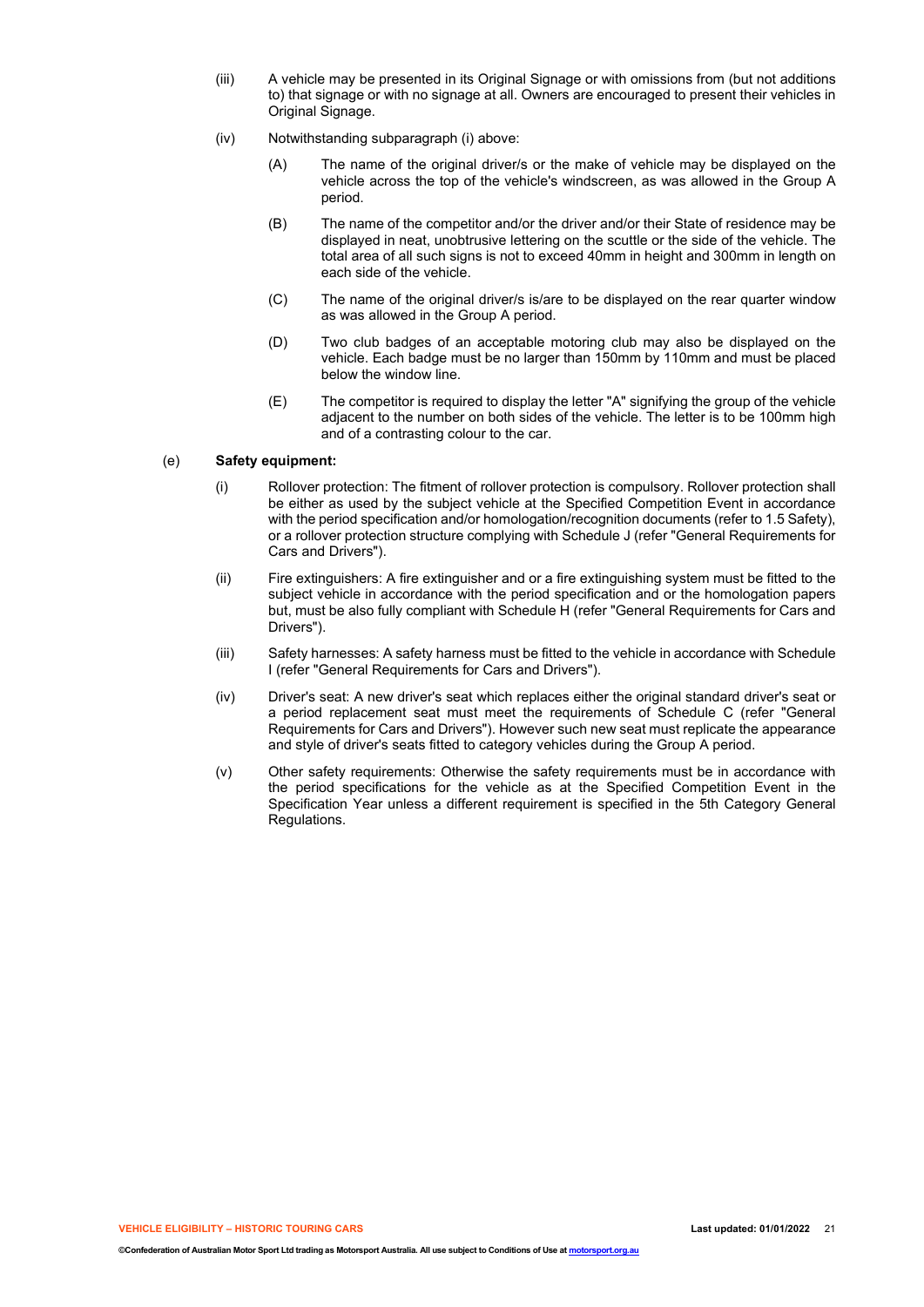- (iii) A vehicle may be presented in its Original Signage or with omissions from (but not additions to) that signage or with no signage at all. Owners are encouraged to present their vehicles in Original Signage.
- (iv) Notwithstanding subparagraph (i) above:
	- (A) The name of the original driver/s or the make of vehicle may be displayed on the vehicle across the top of the vehicle's windscreen, as was allowed in the Group A period.
	- (B) The name of the competitor and/or the driver and/or their State of residence may be displayed in neat, unobtrusive lettering on the scuttle or the side of the vehicle. The total area of all such signs is not to exceed 40mm in height and 300mm in length on each side of the vehicle.
	- (C) The name of the original driver/s is/are to be displayed on the rear quarter window as was allowed in the Group A period.
	- (D) Two club badges of an acceptable motoring club may also be displayed on the vehicle. Each badge must be no larger than 150mm by 110mm and must be placed below the window line.
	- (E) The competitor is required to display the letter "A" signifying the group of the vehicle adjacent to the number on both sides of the vehicle. The letter is to be 100mm high and of a contrasting colour to the car.

### (e) **Safety equipment:**

- (i) Rollover protection: The fitment of rollover protection is compulsory. Rollover protection shall be either as used by the subject vehicle at the Specified Competition Event in accordance with the period specification and/or homologation/recognition documents (refer to 1.5 Safety), or a rollover protection structure complying with Schedule J (refer "General Requirements for Cars and Drivers").
- (ii) Fire extinguishers: A fire extinguisher and or a fire extinguishing system must be fitted to the subject vehicle in accordance with the period specification and or the homologation papers but, must be also fully compliant with Schedule H (refer "General Requirements for Cars and Drivers").
- (iii) Safety harnesses: A safety harness must be fitted to the vehicle in accordance with Schedule I (refer "General Requirements for Cars and Drivers").
- (iv) Driver's seat: A new driver's seat which replaces either the original standard driver's seat or a period replacement seat must meet the requirements of Schedule C (refer "General Requirements for Cars and Drivers"). However such new seat must replicate the appearance and style of driver's seats fitted to category vehicles during the Group A period.
- (v) Other safety requirements: Otherwise the safety requirements must be in accordance with the period specifications for the vehicle as at the Specified Competition Event in the Specification Year unless a different requirement is specified in the 5th Category General Regulations.